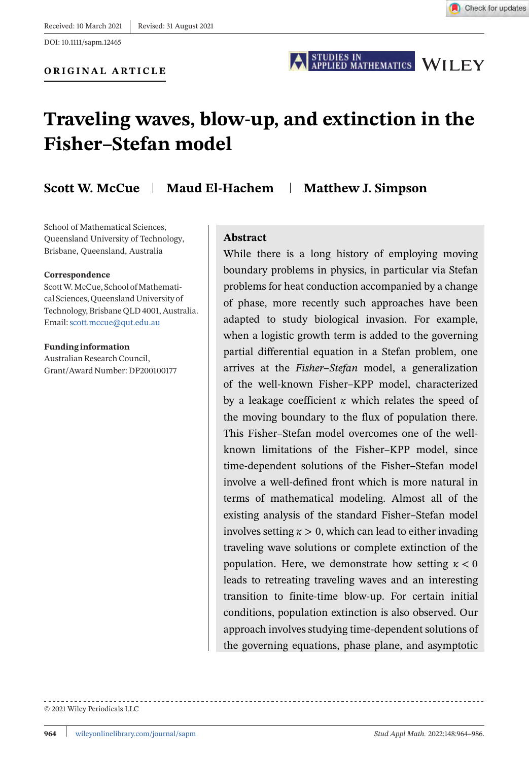**ORIGINAL ARTICLE**

STUDIES IN<br>APPLIED MATHEMATICS WILEY

# **Traveling waves, blow-up, and extinction in the Fisher–Stefan model**

**Scott W. McCue Maud El-Hachem Matthew J. Simpson** 

School of Mathematical Sciences, Queensland University of Technology, Brisbane, Queensland, Australia

#### **Correspondence**

ScottW. McCue, School of Mathematical Sciences, Queensland University of Technology, Brisbane QLD 4001, Australia. Email:[scott.mccue@qut.edu.au](mailto:scott.mccue@qut.edu.au)

**Funding information** Australian Research Council, Grant/Award Number: DP200100177

#### **Abstract**

While there is a long history of employing moving boundary problems in physics, in particular via Stefan problems for heat conduction accompanied by a change of phase, more recently such approaches have been adapted to study biological invasion. For example, when a logistic growth term is added to the governing partial differential equation in a Stefan problem, one arrives at the *Fisher–Stefan* model, a generalization of the well-known Fisher–KPP model, characterized by a leakage coefficient  $\kappa$  which relates the speed of the moving boundary to the flux of population there. This Fisher–Stefan model overcomes one of the wellknown limitations of the Fisher–KPP model, since time-dependent solutions of the Fisher–Stefan model involve a well-defined front which is more natural in terms of mathematical modeling. Almost all of the existing analysis of the standard Fisher–Stefan model involves setting  $x > 0$ , which can lead to either invading traveling wave solutions or complete extinction of the population. Here, we demonstrate how setting  $\kappa < 0$ leads to retreating traveling waves and an interesting transition to finite-time blow-up. For certain initial conditions, population extinction is also observed. Our approach involves studying time-dependent solutions of the governing equations, phase plane, and asymptotic

© 2021 Wiley Periodicals LLC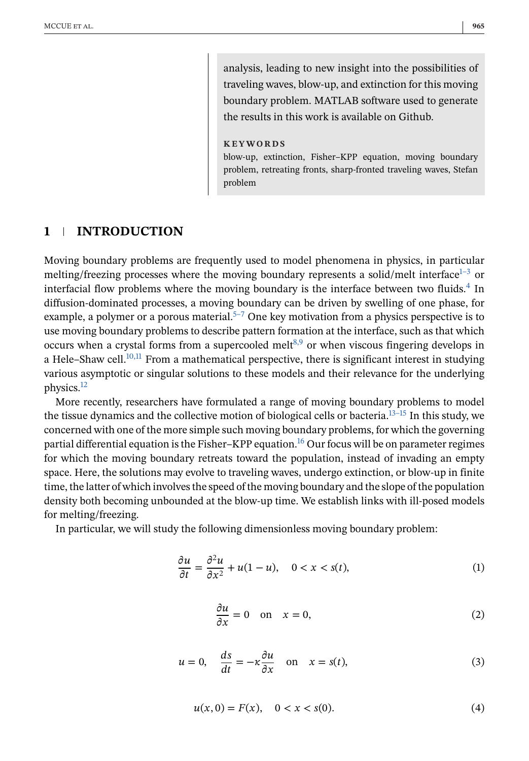analysis, leading to new insight into the possibilities of traveling waves, blow-up, and extinction for this moving boundary problem. MATLAB software used to generate the results in this work is available on Github.

#### **KEYWORDS**

blow-up, extinction, Fisher–KPP equation, moving boundary problem, retreating fronts, sharp-fronted traveling waves, Stefan problem

# <span id="page-1-0"></span>**1 INTRODUCTION**

Moving boundary problems are frequently used to model phenomena in physics, in particular melting/freezing processes where the moving boundary represents a solid/melt interface<sup>1–3</sup> or interfacial flow problems where the moving boundary is the interface between two fluids.<sup>4</sup> In diffusion-dominated processes, a moving boundary can be driven by swelling of one phase, for example, a polymer or a porous material.<sup>5–7</sup> One key motivation from a physics perspective is to use moving boundary problems to describe pattern formation at the interface, such as that which occurs when a crystal forms from a supercooled melt<sup>8,9</sup> or when viscous fingering develops in a Hele–Shaw cell. $10,11$  From a mathematical perspective, there is significant interest in studying various asymptotic or singular solutions to these models and their relevance for the underlying physics.[12](#page-19-0)

More recently, researchers have formulated a range of moving boundary problems to model the tissue dynamics and the collective motion of biological cells or bacteria.[13–15](#page-19-0) In this study, we concerned with one of the more simple such moving boundary problems, for which the governing partial differential equation is the Fisher-KPP equation.<sup>[16](#page-19-0)</sup> Our focus will be on parameter regimes for which the moving boundary retreats toward the population, instead of invading an empty space. Here, the solutions may evolve to traveling waves, undergo extinction, or blow-up in finite time, the latter of which involves the speed of the moving boundary and the slope of the population density both becoming unbounded at the blow-up time. We establish links with ill-posed models for melting/freezing.

In particular, we will study the following dimensionless moving boundary problem:

$$
\frac{\partial u}{\partial t} = \frac{\partial^2 u}{\partial x^2} + u(1 - u), \quad 0 < x < s(t),\tag{1}
$$

$$
\frac{\partial u}{\partial x} = 0 \quad \text{on} \quad x = 0,\tag{2}
$$

$$
u = 0, \quad \frac{ds}{dt} = -\kappa \frac{\partial u}{\partial x} \quad \text{on} \quad x = s(t), \tag{3}
$$

$$
u(x,0) = F(x), \quad 0 < x < s(0). \tag{4}
$$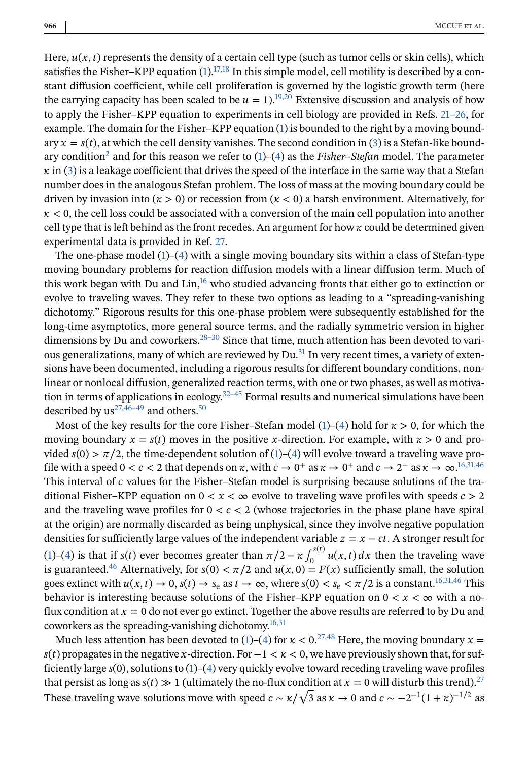Here,  $u(x, t)$  represents the density of a certain cell type (such as tumor cells or skin cells), which satisfies the Fisher–KPP equation  $(1)$ .<sup>17,18</sup> In this simple model, cell motility is described by a constant diffusion coefficient, while cell proliferation is governed by the logistic growth term (here the carrying capacity has been scaled to be  $u = 1$ ).<sup>19,20</sup> Extensive discussion and analysis of how to apply the Fisher–KPP equation to experiments in cell biology are provided in Refs. [21–26,](#page-19-0) for example. The domain for the Fisher–KPP equation [\(1\)](#page-1-0) is bounded to the right by a moving boundary  $x = s(t)$ , at which the cell density vanishes. The second condition in [\(3\)](#page-1-0) is a Stefan-like bound-ary condition<sup>[2](#page-18-0)</sup> and for this reason we refer to  $(1)$ – $(4)$  as the *Fisher–Stefan* model. The parameter  $\kappa$  in [\(3\)](#page-1-0) is a leakage coefficient that drives the speed of the interface in the same way that a Stefan number does in the analogous Stefan problem. The loss of mass at the moving boundary could be driven by invasion into  $(x > 0)$  or recession from  $(x < 0)$  a harsh environment. Alternatively, for  $\kappa$  < 0, the cell loss could be associated with a conversion of the main cell population into another cell type that is left behind as the front recedes. An argument for how  $\kappa$  could be determined given experimental data is provided in Ref. [27.](#page-19-0)

The one-phase model  $(1)-(4)$  $(1)-(4)$  $(1)-(4)$  with a single moving boundary sits within a class of Stefan-type moving boundary problems for reaction diffusion models with a linear diffusion term. Much of this work began with Du and  $\text{Lin}^{16}$  $\text{Lin}^{16}$  $\text{Lin}^{16}$ , who studied advancing fronts that either go to extinction or evolve to traveling waves. They refer to these two options as leading to a "spreading-vanishing dichotomy." Rigorous results for this one-phase problem were subsequently established for the long-time asymptotics, more general source terms, and the radially symmetric version in higher dimensions by Du and coworkers.<sup>28-30</sup> Since that time, much attention has been devoted to various generalizations, many of which are reviewed by  $Du<sup>31</sup>$  In very recent times, a variety of extensions have been documented, including a rigorous results for different boundary conditions, nonlinear or nonlocal diffusion, generalized reaction terms, with one or two phases, as well as motivation in terms of applications in ecology.<sup>32–45</sup> Formal results and numerical simulations have been described by  $us^{27,46-49}$  and others.<sup>50</sup>

Most of the key results for the core Fisher–Stefan model [\(1\)](#page-1-0)–[\(4\)](#page-1-0) hold for  $\kappa > 0$ , for which the moving boundary  $x = s(t)$  moves in the positive x-direction. For example, with  $x > 0$  and provided  $s(0) > \pi/2$ , the time-dependent solution of [\(1\)](#page-1-0)–[\(4\)](#page-1-0) will evolve toward a traveling wave profile with a speed  $0 < c < 2$  that depends on  $\kappa$ , with  $c \to 0^+$  as  $\kappa \to 0^+$  and  $c \to 2^-$  as  $\kappa \to \infty$ .<sup>[16,31,46](#page-19-0)</sup> This interval of c values for the Fisher–Stefan model is surprising because solutions of the traditional Fisher–KPP equation on  $0 < x < \infty$  evolve to traveling wave profiles with speeds  $c > 2$ and the traveling wave profiles for  $0 < c < 2$  (whose trajectories in the phase plane have spiral at the origin) are normally discarded as being unphysical, since they involve negative population densities for sufficiently large values of the independent variable  $z = x - ct$ . A stronger result for [\(1\)](#page-1-0)–[\(4\)](#page-1-0) is that if  $s(t)$  ever becomes greater than  $\pi/2 - \kappa \int_0^{s(t)} u(x, t) dx$  then the traveling wave is guaranteed.<sup>46</sup> Alternatively, for  $s(0) < \pi/2$  and  $u(x, 0) = F(x)$  sufficiently small, the solution goes extinct with  $u(x, t) \to 0$ ,  $s(t) \to s_e$  as  $t \to \infty$ , where  $s(0) < s_e < \pi/2$  is a constant.<sup>[16,31,46](#page-19-0)</sup> This behavior is interesting because solutions of the Fisher–KPP equation on  $0 < x < \infty$  with a noflux condition at  $x = 0$  do not ever go extinct. Together the above results are referred to by Du and coworkers as the spreading-vanishing dichotomy.<sup>16,31</sup>

Much less attention has been devoted to [\(1\)](#page-1-0)–[\(4\)](#page-1-0) for  $\kappa < 0.^{27,48}$  $\kappa < 0.^{27,48}$  $\kappa < 0.^{27,48}$  Here, the moving boundary  $x =$  $s(t)$  propagates in the negative x-direction. For  $-1 < \kappa < 0$ , we have previously shown that, for sufficiently large  $s(0)$ , solutions to  $(1)-(4)$  $(1)-(4)$  $(1)-(4)$  very quickly evolve toward receding traveling wave profiles that persist as long as  $s(t) \gg 1$  (ultimately the no-flux condition at  $x = 0$  will disturb this trend).<sup>27</sup> These traveling wave solutions move with speed  $c \sim \kappa/\sqrt{3}$  as  $\kappa \to 0$  and  $c \sim -2^{-1}(1+\kappa)^{-1/2}$  as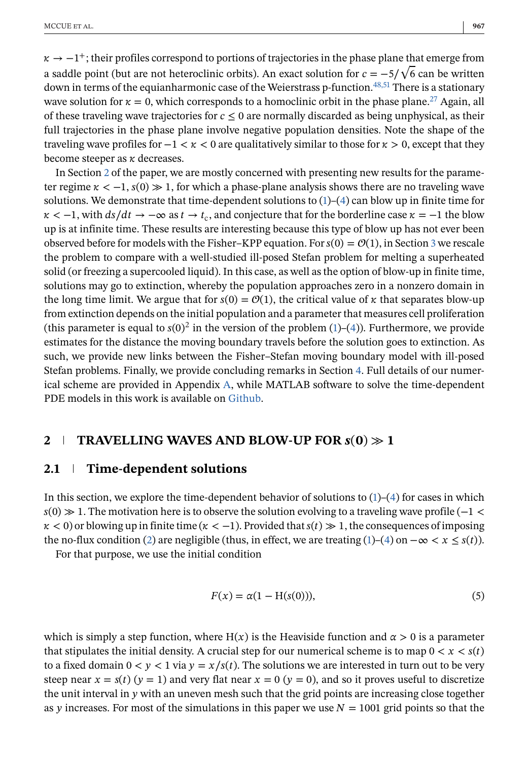<span id="page-3-0"></span> $\kappa \rightarrow -1^+$ ; their profiles correspond to portions of trajectories in the phase plane that emerge from a saddle point (but are not heteroclinic orbits). An exact solution for  $c = -5/\sqrt{6}$  can be written down in terms of the equianharmonic case of the Weierstrass p-function.<sup>48,51</sup> There is a stationary wave solution for  $\kappa = 0$ , which corresponds to a homoclinic orbit in the phase plane.<sup>[27](#page-19-0)</sup> Again, all of these traveling wave trajectories for  $c \leq 0$  are normally discarded as being unphysical, as their full trajectories in the phase plane involve negative population densities. Note the shape of the traveling wave profiles for  $-1 < \kappa < 0$  are qualitatively similar to those for  $\kappa > 0$ , except that they become steeper as  $\kappa$  decreases.

In Section 2 of the paper, we are mostly concerned with presenting new results for the parameter regime  $\kappa < -1$ ,  $s(0) \gg 1$ , for which a phase-plane analysis shows there are no traveling wave solutions. We demonstrate that time-dependent solutions to  $(1)$ – $(4)$  can blow up in finite time for  $\kappa < -1$ , with  $ds/dt \to -\infty$  as  $t \to t_c$ , and conjecture that for the borderline case  $\kappa = -1$  the blow up is at infinite time. These results are interesting because this type of blow up has not ever been observed before for models with the Fisher–KPP equation. For  $s(0) = \mathcal{O}(1)$ , in Section [3](#page-9-0) we rescale the problem to compare with a well-studied ill-posed Stefan problem for melting a superheated solid (or freezing a supercooled liquid). In this case, as well as the option of blow-up in finite time, solutions may go to extinction, whereby the population approaches zero in a nonzero domain in the long time limit. We argue that for  $s(0) = \mathcal{O}(1)$ , the critical value of  $\kappa$  that separates blow-up from extinction depends on the initial population and a parameter that measures cell proliferation (this parameter is equal to  $s(0)^2$  in the version of the problem [\(1\)](#page-1-0)–[\(4\)](#page-1-0)). Furthermore, we provide estimates for the distance the moving boundary travels before the solution goes to extinction. As such, we provide new links between the Fisher–Stefan moving boundary model with ill-posed Stefan problems. Finally, we provide concluding remarks in Section [4.](#page-17-0) Full details of our numerical scheme are provided in Appendix [A,](#page-21-0) while MATLAB software to solve the time-dependent PDE models in this work is available on [Github.](https://github.com/ProfMJSimpson/Fisher_blowup)

# **2 TRAVELLING WAVES AND BLOW-UP FOR**  $s(0) \gg 1$

#### **2.1 Time-dependent solutions**

In this section, we explore the time-dependent behavior of solutions to  $(1)-(4)$  $(1)-(4)$  $(1)-(4)$  for cases in which  $s(0) \gg 1$ . The motivation here is to observe the solution evolving to a traveling wave profile (-1 <  $\kappa$  < 0) or blowing up in finite time ( $\kappa$  < -1). Provided that  $s(t) \gg 1$ , the consequences of imposing the no-flux condition [\(2\)](#page-1-0) are negligible (thus, in effect, we are treating [\(1\)](#page-1-0)–[\(4\)](#page-1-0) on  $-\infty < x \leq s(t)$ ).

For that purpose, we use the initial condition

$$
F(x) = \alpha(1 - \mathcal{H}(s(0))),\tag{5}
$$

which is simply a step function, where  $H(x)$  is the Heaviside function and  $\alpha > 0$  is a parameter that stipulates the initial density. A crucial step for our numerical scheme is to map  $0 < x < s(t)$ to a fixed domain  $0 < y < 1$  via  $y = x/s(t)$ . The solutions we are interested in turn out to be very steep near  $x = s(t)$   $(y = 1)$  and very flat near  $x = 0$   $(y = 0)$ , and so it proves useful to discretize the unit interval in  $y$  with an uneven mesh such that the grid points are increasing close together as y increases. For most of the simulations in this paper we use  $N = 1001$  grid points so that the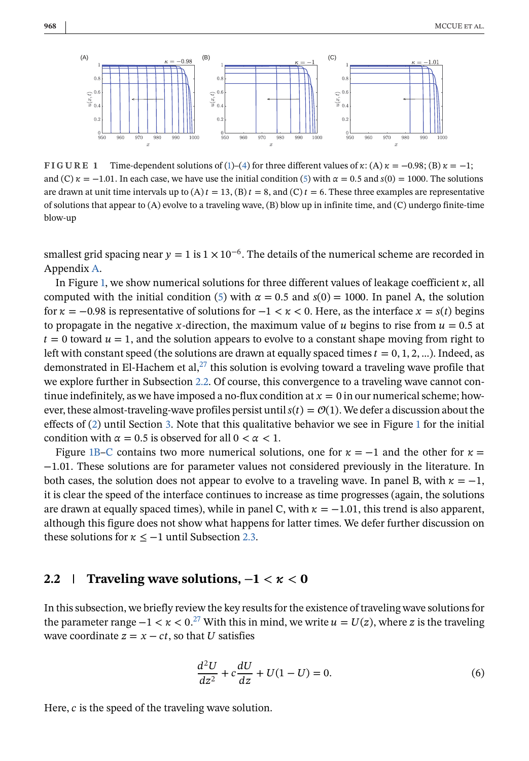<span id="page-4-0"></span>

**FIGURE 1** Time-dependent solutions of [\(1\)](#page-1-0)–[\(4\)](#page-1-0) for three different values of  $\kappa$ : (A)  $\kappa = -0.98$ ; (B)  $\kappa = -1$ ; and (C)  $\kappa = -1.01$ . In each case, we have use the initial condition [\(5\)](#page-3-0) with  $\alpha = 0.5$  and  $s(0) = 1000$ . The solutions are drawn at unit time intervals up to (A)  $t = 13$ , (B)  $t = 8$ , and (C)  $t = 6$ . These three examples are representative of solutions that appear to  $(A)$  evolve to a traveling wave,  $(B)$  blow up in infinite time, and  $(C)$  undergo finite-time blow-up

smallest grid spacing near  $y = 1$  is  $1 \times 10^{-6}$ . The details of the numerical scheme are recorded in Appendix [A.](#page-21-0)

In Figure 1, we show numerical solutions for three different values of leakage coefficient  $\kappa$ , all computed with the initial condition [\(5\)](#page-3-0) with  $\alpha = 0.5$  and  $s(0) = 1000$ . In panel A, the solution for  $\kappa = -0.98$  is representative of solutions for  $-1 < \kappa < 0$ . Here, as the interface  $x = s(t)$  begins to propagate in the negative x-direction, the maximum value of u begins to rise from  $u = 0.5$  at  $t=0$  toward  $u=1$ , and the solution appears to evolve to a constant shape moving from right to left with constant speed (the solutions are drawn at equally spaced times  $t = 0, 1, 2, ...$ ). Indeed, as demonstrated in El-Hachem et al, $^{27}$  this solution is evolving toward a traveling wave profile that we explore further in Subsection 2.2. Of course, this convergence to a traveling wave cannot continue indefinitely, as we have imposed a no-flux condition at  $x=0$  in our numerical scheme; however, these almost-traveling-wave profiles persist until  $s(t) = \mathcal{O}(1)$ . We defer a discussion about the effects of [\(2\)](#page-1-0) until Section [3.](#page-9-0) Note that this qualitative behavior we see in Figure 1 for the initial condition with  $\alpha = 0.5$  is observed for all  $0 < \alpha < 1$ .

Figure 1B–C contains two more numerical solutions, one for  $\kappa = -1$  and the other for  $\kappa =$ −1.01. These solutions are for parameter values not considered previously in the literature. In both cases, the solution does not appear to evolve to a traveling wave. In panel B, with  $\kappa = -1$ , it is clear the speed of the interface continues to increase as time progresses (again, the solutions are drawn at equally spaced times), while in panel C, with  $\kappa = -1.01$ , this trend is also apparent, although this figure does not show what happens for latter times. We defer further discussion on these solutions for  $\kappa \leq -1$  until Subsection [2.3.](#page-6-0)

#### **2.2 Traveling wave solutions,**  $-1 < \kappa < 0$

In this subsection, we briefly review the key results for the existence of traveling wave solutions for the parameter range  $-1 < \kappa < 0$ .<sup>[27](#page-19-0)</sup> With this in mind, we write  $u = U(z)$ , where z is the traveling wave coordinate  $z = x - ct$ , so that U satisfies

$$
\frac{d^2U}{dz^2} + c\frac{dU}{dz} + U(1 - U) = 0.
$$
 (6)

Here,  $c$  is the speed of the traveling wave solution.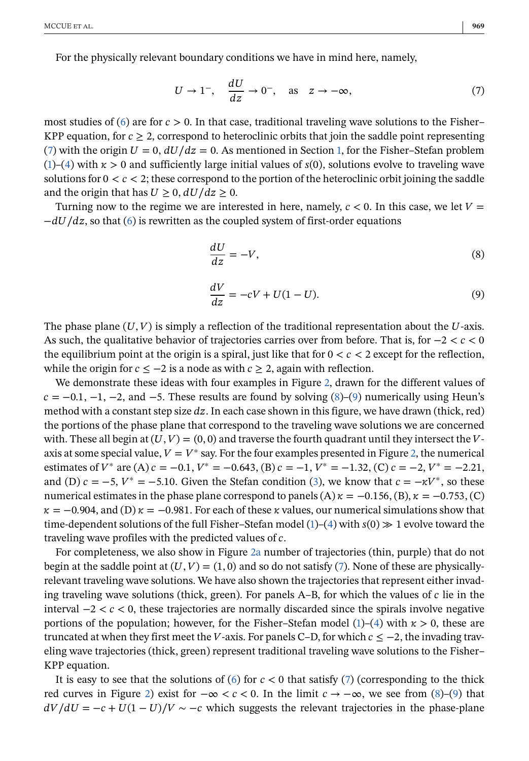<span id="page-5-0"></span>For the physically relevant boundary conditions we have in mind here, namely,

$$
U \to 1^{-}, \quad \frac{dU}{dz} \to 0^{-}, \quad \text{as} \quad z \to -\infty,
$$
 (7)

most studies of [\(6\)](#page-4-0) are for  $c > 0$ . In that case, traditional traveling wave solutions to the Fisher– KPP equation, for  $c \ge 2$ , correspond to heteroclinic orbits that join the saddle point representing (7) with the origin  $U = 0$ ,  $dU/dz = 0$ . As mentioned in Section [1,](#page-1-0) for the Fisher–Stefan problem [\(1\)](#page-1-0)–[\(4\)](#page-1-0) with  $x > 0$  and sufficiently large initial values of  $s(0)$ , solutions evolve to traveling wave solutions for  $0 < c < 2$ ; these correspond to the portion of the heteroclinic orbit joining the saddle and the origin that has  $U \geq 0$ ,  $dU/dz \geq 0$ .

Turning now to the regime we are interested in here, namely,  $c < 0$ . In this case, we let  $V =$  $-dU/dz$ , so that [\(6\)](#page-4-0) is rewritten as the coupled system of first-order equations

$$
\frac{dU}{dz} = -V,\tag{8}
$$

$$
\frac{dV}{dz} = -cV + U(1 - U). \tag{9}
$$

The phase plane  $(U, V)$  is simply a reflection of the traditional representation about the U-axis. As such, the qualitative behavior of trajectories carries over from before. That is, for  $-2 < c < 0$ the equilibrium point at the origin is a spiral, just like that for  $0 < c < 2$  except for the reflection, while the origin for  $c \leq -2$  is a node as with  $c \geq 2$ , again with reflection.

We demonstrate these ideas with four examples in Figure [2,](#page-6-0) drawn for the different values of  $c = -0.1, -1, -2,$  and  $-5$ . These results are found by solving (8)–(9) numerically using Heun's method with a constant step size  $dz$ . In each case shown in this figure, we have drawn (thick, red) the portions of the phase plane that correspond to the traveling wave solutions we are concerned with. These all begin at  $(U, V) = (0, 0)$  and traverse the fourth quadrant until they intersect the Vaxis at some special value,  $V = V^*$  say. For the four examples presented in Figure [2,](#page-6-0) the numerical estimates of  $V^*$  are (A)  $c = -0.1$ ,  $V^* = -0.643$ , (B)  $c = -1$ ,  $V^* = -1.32$ , (C)  $c = -2$ ,  $V^* = -2.21$ , and (D)  $c = -5$ ,  $V^* = -5.10$ . Given the Stefan condition [\(3\)](#page-1-0), we know that  $c = -\kappa V^*$ , so these numerical estimates in the phase plane correspond to panels  $(A) \kappa = -0.156$ ,  $(B) \kappa = -0.753$ ,  $(C)$  $\kappa = -0.904$ , and (D)  $\kappa = -0.981$ . For each of these  $\kappa$  values, our numerical simulations show that time-dependent solutions of the full Fisher–Stefan model [\(1\)](#page-1-0)–[\(4\)](#page-1-0) with  $s(0) \gg 1$  evolve toward the traveling wave profiles with the predicted values of  $c$ .

For completeness, we also show in Figure [2a](#page-6-0) number of trajectories (thin, purple) that do not begin at the saddle point at  $(U, V) = (1, 0)$  and so do not satisfy (7). None of these are physicallyrelevant traveling wave solutions. We have also shown the trajectories that represent either invading traveling wave solutions (thick, green). For panels  $A-B$ , for which the values of  $c$  lie in the interval  $-2 < c < 0$ , these trajectories are normally discarded since the spirals involve negative portions of the population; however, for the Fisher–Stefan model [\(1\)](#page-1-0)–[\(4\)](#page-1-0) with  $\kappa > 0$ , these are truncated at when they first meet the V-axis. For panels C–D, for which  $c \leq -2$ , the invading traveling wave trajectories (thick, green) represent traditional traveling wave solutions to the Fisher– KPP equation.

It is easy to see that the solutions of [\(6\)](#page-4-0) for  $c < 0$  that satisfy (7) (corresponding to the thick red curves in Figure [2\)](#page-6-0) exist for  $-\infty < c < 0$ . In the limit  $c \to -\infty$ , we see from (8)–(9) that  $dV/dU = -c + U(1-U)/V \sim -c$  which suggests the relevant trajectories in the phase-plane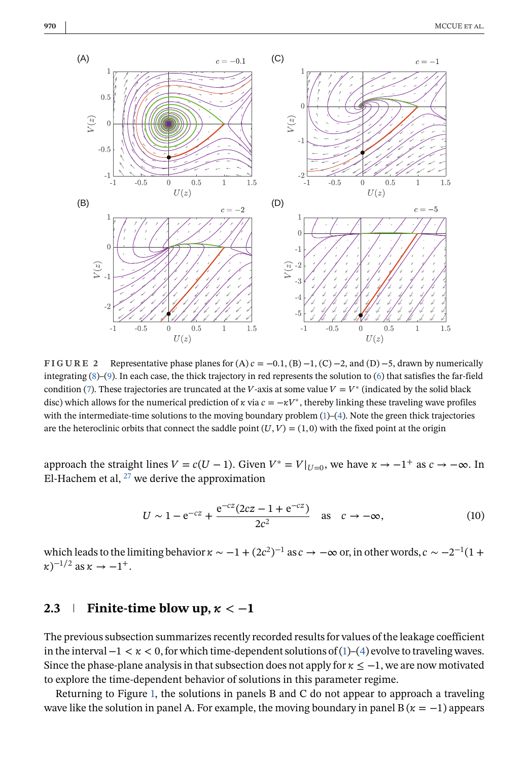<span id="page-6-0"></span>

**FIGURE 2** Representative phase planes for  $(A)$   $c = -0.1$ ,  $(B) -1$ ,  $(C) -2$ , and  $(D) -5$ , drawn by numerically integrating [\(8\)](#page-5-0)–[\(9\)](#page-5-0). In each case, the thick trajectory in red represents the solution to [\(6\)](#page-4-0) that satisfies the far-field condition [\(7\)](#page-5-0). These trajectories are truncated at the V-axis at some value  $V = V^*$  (indicated by the solid black disc) which allows for the numerical prediction of  $\kappa$  via  $c = -\kappa V^*$ , thereby linking these traveling wave profiles with the intermediate-time solutions to the moving boundary problem [\(1\)](#page-1-0)–[\(4\)](#page-1-0). Note the green thick trajectories are the heteroclinic orbits that connect the saddle point  $(U, V) = (1, 0)$  with the fixed point at the origin

approach the straight lines  $V = c(U - 1)$ . Given  $V^* = V|_{U=0}$ , we have  $\kappa \to -1^+$  as  $c \to -\infty$ . In El-Hachem et al,  $^{27}$  $^{27}$  $^{27}$  we derive the approximation

$$
U \sim 1 - e^{-cz} + \frac{e^{-cz}(2cz - 1 + e^{-cz})}{2c^2} \quad \text{as} \quad c \to -\infty,
$$
 (10)

which leads to the limiting behavior  $\kappa \sim -1 + (2c^2)^{-1}$  as  $c \to -\infty$  or, in other words,  $c \sim -2^{-1}(1+\epsilon)$  $(\kappa)^{-1/2}$  as  $\kappa \to -1^+$ .

# **2.3 Finite-time blow up,**  $\kappa < -1$

The previous subsection summarizes recently recorded results for values of the leakage coefficient in the interval  $-1 < \kappa < 0$ , for which time-dependent solutions of [\(1\)](#page-1-0)–[\(4\)](#page-1-0) evolve to traveling waves. Since the phase-plane analysis in that subsection does not apply for  $\kappa \leq -1$ , we are now motivated to explore the time-dependent behavior of solutions in this parameter regime.

Returning to Figure [1,](#page-4-0) the solutions in panels B and C do not appear to approach a traveling wave like the solution in panel A. For example, the moving boundary in panel B ( $\kappa = -1$ ) appears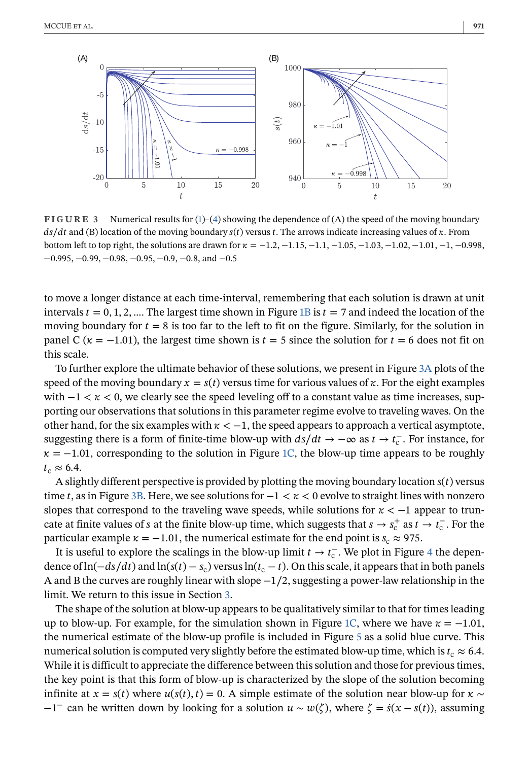<span id="page-7-0"></span>

**FIGURE 3** Numerical results for [\(1\)](#page-1-0)–[\(4\)](#page-1-0) showing the dependence of (A) the speed of the moving boundary  $ds/dt$  and (B) location of the moving boundary  $s(t)$  versus t. The arrows indicate increasing values of  $\kappa$ . From bottom left to top right, the solutions are drawn for  $\kappa = -1.2, -1.15, -1.1, -1.05, -1.03, -1.02, -1.01, -1, -0.998$ , −0.995, −0.99, −0.98, −0.95, −0.9, −0.8, and −0.5

to move a longer distance at each time-interval, remembering that each solution is drawn at unit intervals  $t = 0, 1, 2, ...$  The largest time shown in Figure [1B](#page-4-0) is  $t = 7$  and indeed the location of the moving boundary for  $t = 8$  is too far to the left to fit on the figure. Similarly, for the solution in panel C ( $\kappa = -1.01$ ), the largest time shown is  $t = 5$  since the solution for  $t = 6$  does not fit on this scale.

To further explore the ultimate behavior of these solutions, we present in Figure 3A plots of the speed of the moving boundary  $x = s(t)$  versus time for various values of  $\kappa$ . For the eight examples with  $-1 < \kappa < 0$ , we clearly see the speed leveling off to a constant value as time increases, supporting our observations that solutions in this parameter regime evolve to traveling waves. On the other hand, for the six examples with  $\kappa < -1$ , the speed appears to approach a vertical asymptote, suggesting there is a form of finite-time blow-up with  $ds/dt \to -\infty$  as  $t \to t_c^-$ . For instance, for  $\kappa = -1.01$ , corresponding to the solution in Figure [1C,](#page-4-0) the blow-up time appears to be roughly  $t_c \approx 6.4$ .

A slightly different perspective is provided by plotting the moving boundary location  $s(t)$  versus time t, as in Figure 3B. Here, we see solutions for  $-1 < \kappa < 0$  evolve to straight lines with nonzero slopes that correspond to the traveling wave speeds, while solutions for  $\kappa < -1$  appear to truncate at finite values of *s* at the finite blow-up time, which suggests that  $s \to s_c^+$  as  $t \to t_c^-$ . For the particular example  $\kappa = -1.01$ , the numerical estimate for the end point is  $s_c \approx 975$ .

It is useful to explore the scalings in the blow-up limit  $t \to t_c^-$ . We plot in Figure [4](#page-8-0) the dependence of ln( $-ds/dt$ ) and ln( $s(t) - s_c$ ) versus ln( $t_c - t$ ). On this scale, it appears that in both panels A and B the curves are roughly linear with slope −1∕2, suggesting a power-law relationship in the limit. We return to this issue in Section [3.](#page-9-0)

The shape of the solution at blow-up appears to be qualitatively similar to that for times leading up to blow-up. For example, for the simulation shown in Figure [1C,](#page-4-0) where we have  $\kappa = -1.01$ , the numerical estimate of the blow-up profile is included in Figure [5](#page-8-0) as a solid blue curve. This numerical solution is computed very slightly before the estimated blow-up time, which is  $t_c \approx 6.4$ . While it is difficult to appreciate the difference between this solution and those for previous times, the key point is that this form of blow-up is characterized by the slope of the solution becoming infinite at  $x = s(t)$  where  $u(s(t), t) = 0$ . A simple estimate of the solution near blow-up for  $\kappa \sim$  $-1^-$  can be written down by looking for a solution  $u \sim w(\zeta)$ , where  $\zeta = s(x - s(t))$ , assuming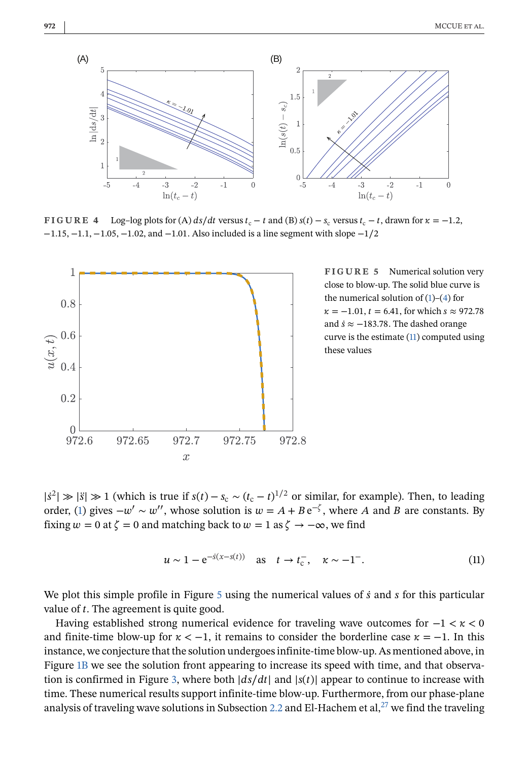<span id="page-8-0"></span>

**FIGURE 4** Log–log plots for (A)  $ds/dt$  versus  $t_c - t$  and (B)  $s(t) - s_c$  versus  $t_c - t$ , drawn for  $\kappa = -1.2$ , −1.15, −1.1, −1.05, −1.02, and −1.01. Also included is a line segment with slope −1∕2



**FIGURE 5** Numerical solution very close to blow-up. The solid blue curve is the numerical solution of  $(1)$ – $(4)$  for  $\kappa = -1.01$ ,  $t = 6.41$ , for which  $s \approx 972.78$ and  $\dot{s} \approx -183.78$ . The dashed orange curve is the estimate (11) computed using these values

 $|s^2| \gg |s| \gg 1$  (which is true if  $s(t) - s_c \sim (t_c - t)^{1/2}$  or similar, for example). Then, to leading order, [\(1\)](#page-1-0) gives  $-w' \sim w''$ , whose solution is  $w = A + Be^{-\zeta}$ , where A and B are constants. By fixing  $w = 0$  at  $\zeta = 0$  and matching back to  $w = 1$  as  $\zeta \to -\infty$ , we find

$$
u \sim 1 - e^{-s(x - s(t))}
$$
 as  $t \to t_c^-$ ,  $\kappa \sim -1^-$ . (11)

We plot this simple profile in Figure  $5$  using the numerical values of  $\dot{s}$  and  $\dot{s}$  for this particular value of  $t$ . The agreement is quite good.

Having established strong numerical evidence for traveling wave outcomes for  $-1 < \kappa < 0$ and finite-time blow-up for  $\kappa < -1$ , it remains to consider the borderline case  $\kappa = -1$ . In this instance, we conjecture that the solution undergoes infinite-time blow-up. As mentioned above, in Figure [1B](#page-4-0) we see the solution front appearing to increase its speed with time, and that observa-tion is confirmed in Figure [3,](#page-7-0) where both  $|ds/dt|$  and  $|s(t)|$  appear to continue to increase with time. These numerical results support infinite-time blow-up. Furthermore, from our phase-plane analysis of traveling wave solutions in Subsection [2.2](#page-4-0) and El-Hachem et al, $^{27}$  we find the traveling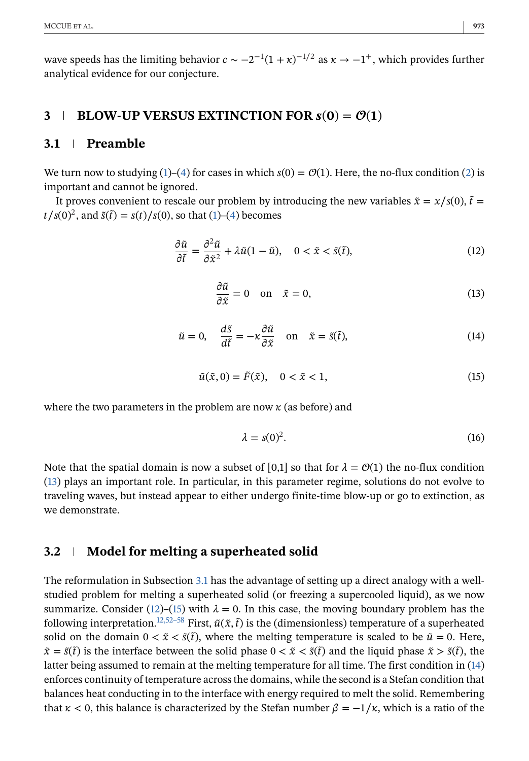<span id="page-9-0"></span>wave speeds has the limiting behavior  $c \sim -2^{-1}(1 + \kappa)^{-1/2}$  as  $\kappa \to -1^+$ , which provides further analytical evidence for our conjecture.

# **3 BLOW-UP VERSUS EXTINCTION FOR**  $s(0) = \mathcal{O}(1)$

# **3.1 Preamble**

We turn now to studying [\(1\)](#page-1-0)–[\(4\)](#page-1-0) for cases in which  $s(0) = \mathcal{O}(1)$ . Here, the no-flux condition [\(2\)](#page-1-0) is important and cannot be ignored.

It proves convenient to rescale our problem by introducing the new variables  $\tilde{x} = x/s(0)$ ,  $\tilde{t} =$  $t/s(0)^2$ , and  $\tilde{s}(\tilde{t}) = s(t)/s(0)$ , so that [\(1\)](#page-1-0)–[\(4\)](#page-1-0) becomes

$$
\frac{\partial \tilde{u}}{\partial \tilde{t}} = \frac{\partial^2 \tilde{u}}{\partial \tilde{x}^2} + \lambda \tilde{u}(1 - \tilde{u}), \quad 0 < \tilde{x} < \tilde{s}(\tilde{t}), \tag{12}
$$

$$
\frac{\partial \tilde{u}}{\partial \tilde{x}} = 0 \quad \text{on} \quad \tilde{x} = 0,\tag{13}
$$

$$
\tilde{u} = 0, \quad \frac{d\tilde{s}}{d\tilde{t}} = -\kappa \frac{\partial \tilde{u}}{\partial \tilde{x}} \quad \text{on} \quad \tilde{x} = \tilde{s}(\tilde{t}),
$$
\n(14)

$$
\tilde{u}(\tilde{x},0) = \tilde{F}(\tilde{x}), \quad 0 < \tilde{x} < 1,\tag{15}
$$

where the two parameters in the problem are now  $\kappa$  (as before) and

$$
\lambda = s(0)^2. \tag{16}
$$

Note that the spatial domain is now a subset of [0,1] so that for  $\lambda = \mathcal{O}(1)$  the no-flux condition (13) plays an important role. In particular, in this parameter regime, solutions do not evolve to traveling waves, but instead appear to either undergo finite-time blow-up or go to extinction, as we demonstrate.

# **3.2 Model for melting a superheated solid**

The reformulation in Subsection 3.1 has the advantage of setting up a direct analogy with a wellstudied problem for melting a superheated solid (or freezing a supercooled liquid), as we now summarize. Consider (12)–(15) with  $\lambda = 0$ . In this case, the moving boundary problem has the following interpretation.<sup>12,52–58</sup> First,  $\tilde{u}(\tilde{x}, \tilde{t})$  is the (dimensionless) temperature of a superheated solid on the domain  $0 < \tilde{x} < \tilde{s}(\tilde{t})$ , where the melting temperature is scaled to be  $\tilde{u} = 0$ . Here,  $\tilde{x} = \tilde{s}(\tilde{t})$  is the interface between the solid phase  $0 < \tilde{x} < \tilde{s}(\tilde{t})$  and the liquid phase  $\tilde{x} > \tilde{s}(\tilde{t})$ , the latter being assumed to remain at the melting temperature for all time. The first condition in (14) enforces continuity of temperature across the domains, while the second is a Stefan condition that balances heat conducting in to the interface with energy required to melt the solid. Remembering that  $\kappa$  < 0, this balance is characterized by the Stefan number  $\beta = -1/\kappa$ , which is a ratio of the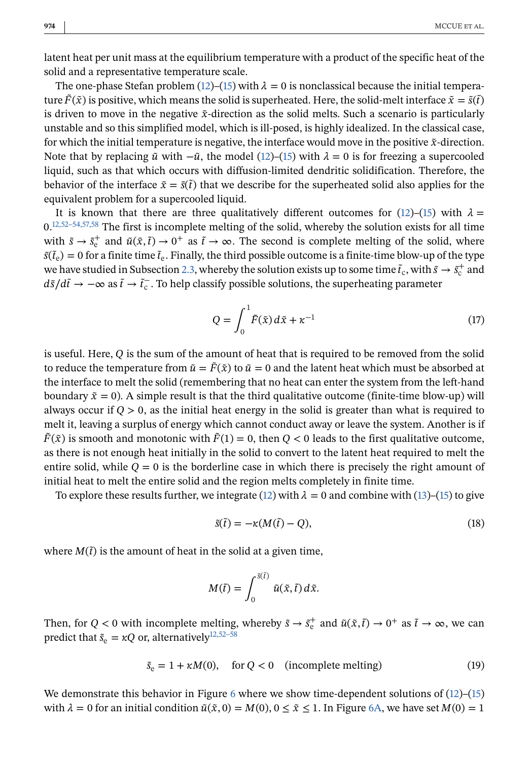<span id="page-10-0"></span>latent heat per unit mass at the equilibrium temperature with a product of the specific heat of the solid and a representative temperature scale.

The one-phase Stefan problem [\(12\)](#page-9-0)–[\(15\)](#page-9-0) with  $\lambda = 0$  is nonclassical because the initial temperature  $\tilde{F}(\tilde{x})$  is positive, which means the solid is superheated. Here, the solid-melt interface  $\tilde{x} = \tilde{s}(\tilde{t})$ is driven to move in the negative  $\tilde{x}$ -direction as the solid melts. Such a scenario is particularly unstable and so this simplified model, which is ill-posed, is highly idealized. In the classical case, for which the initial temperature is negative, the interface would move in the positive  $\tilde{x}$ -direction. Note that by replacing  $\tilde{u}$  with  $-\tilde{u}$ , the model [\(12\)](#page-9-0)–[\(15\)](#page-9-0) with  $\lambda = 0$  is for freezing a supercooled liquid, such as that which occurs with diffusion-limited dendritic solidification. Therefore, the behavior of the interface  $\tilde{x} = \tilde{s}(\tilde{t})$  that we describe for the superheated solid also applies for the equivalent problem for a supercooled liquid.

It is known that there are three qualitatively different outcomes for [\(12\)](#page-9-0)–[\(15\)](#page-9-0) with  $\lambda =$  $0.^{12,52-54,57,58}$  The first is incomplete melting of the solid, whereby the solution exists for all time with  $\tilde{s} \to \tilde{s}_{e}^{+}$  and  $\tilde{u}(\tilde{x}, \tilde{t}) \to 0^{+}$  as  $\tilde{t} \to \infty$ . The second is complete melting of the solid, where  $\tilde{s}(\tilde{t}_e)=0$  for a finite time  $\tilde{t}_e$ . Finally, the third possible outcome is a finite-time blow-up of the type we have studied in Subsection [2.3,](#page-6-0) whereby the solution exists up to some time  $\tilde{t}_c$ , with  $\tilde{s} \to \tilde{s}_c^+$  and  $d\tilde{s}/d\tilde{t}$  →  $-\infty$  as  $\tilde{t}$  →  $\tilde{t}_c^-$ . To help classify possible solutions, the superheating parameter

$$
Q = \int_0^1 \tilde{F}(\tilde{x}) d\tilde{x} + \kappa^{-1}
$$
\n(17)

is useful. Here,  $Q$  is the sum of the amount of heat that is required to be removed from the solid to reduce the temperature from  $\tilde{u} = \tilde{F}(\tilde{x})$  to  $\tilde{u} = 0$  and the latent heat which must be absorbed at the interface to melt the solid (remembering that no heat can enter the system from the left-hand boundary  $\tilde{x} = 0$ ). A simple result is that the third qualitative outcome (finite-time blow-up) will always occur if  $Q > 0$ , as the initial heat energy in the solid is greater than what is required to melt it, leaving a surplus of energy which cannot conduct away or leave the system. Another is if  $\tilde{F}(\tilde{x})$  is smooth and monotonic with  $\tilde{F}(1) = 0$ , then  $Q < 0$  leads to the first qualitative outcome, as there is not enough heat initially in the solid to convert to the latent heat required to melt the entire solid, while  $Q = 0$  is the borderline case in which there is precisely the right amount of initial heat to melt the entire solid and the region melts completely in finite time.

To explore these results further, we integrate [\(12\)](#page-9-0) with  $\lambda = 0$  and combine with [\(13\)](#page-9-0)–[\(15\)](#page-9-0) to give

$$
\tilde{s}(\tilde{t}) = -\kappa (M(\tilde{t}) - Q),\tag{18}
$$

where  $M(\tilde{t})$  is the amount of heat in the solid at a given time,

$$
M(\tilde{t}) = \int_0^{\tilde{s}(\tilde{t})} \tilde{u}(\tilde{x}, \tilde{t}) d\tilde{x}.
$$

Then, for  $Q < 0$  with incomplete melting, whereby  $\tilde{s} \to \tilde{s}_e^+$  and  $\tilde{u}(\tilde{x}, \tilde{t}) \to 0^+$  as  $\tilde{t} \to \infty$ , we can predict that  $\tilde{s}_e = \kappa Q$  or, alternatively<sup>[12,52–58](#page-19-0)</sup>

$$
\tilde{s}_{e} = 1 + \kappa M(0), \quad \text{for } Q < 0 \quad \text{(incomplete melting)} \tag{19}
$$

We demonstrate this behavior in Figure [6](#page-11-0) where we show time-dependent solutions of  $(12)$ – $(15)$ with  $\lambda = 0$  for an initial condition  $\tilde{u}(\tilde{x}, 0) = M(0), 0 \le \tilde{x} \le 1$ . In Figure [6A,](#page-11-0) we have set  $M(0) = 1$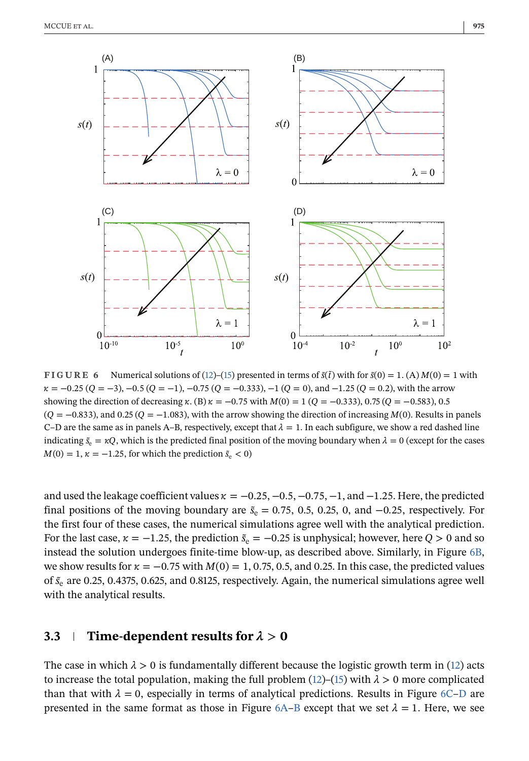<span id="page-11-0"></span>

**FIGURE 6** Numerical solutions of [\(12\)](#page-9-0)–[\(15\)](#page-9-0) presented in terms of  $\tilde{s}(\tilde{t})$  with for  $\tilde{s}(0) = 1$ . (A)  $M(0) = 1$  with  $\kappa = -0.25$  (Q = −3), -0.5 (Q = −1), -0.75 (Q = −0.333), -1 (Q = 0), and -1.25 (Q = 0.2), with the arrow showing the direction of decreasing  $\kappa$ . (B)  $\kappa = -0.75$  with  $M(0) = 1$  ( $Q = -0.333$ ), 0.75 ( $Q = -0.583$ ), 0.5  $(Q = -0.833)$ , and 0.25  $(Q = -1.083)$ , with the arrow showing the direction of increasing  $M(0)$ . Results in panels C–D are the same as in panels A–B, respectively, except that  $\lambda = 1$ . In each subfigure, we show a red dashed line indicating  $\tilde{s}_e = \kappa Q$ , which is the predicted final position of the moving boundary when  $\lambda = 0$  (except for the cases  $M(0) = 1, \kappa = -1.25$ , for which the prediction  $\tilde{s}_{e} < 0$ )

and used the leakage coefficient values  $\kappa = -0.25, -0.5, -0.75, -1,$  and  $-1.25$ . Here, the predicted final positions of the moving boundary are  $\tilde{s}_e = 0.75, 0.5, 0.25, 0,$  and  $-0.25$ , respectively. For the first four of these cases, the numerical simulations agree well with the analytical prediction. For the last case,  $\kappa = -1.25$ , the prediction  $\tilde{s}_{e} = -0.25$  is unphysical; however, here  $Q > 0$  and so instead the solution undergoes finite-time blow-up, as described above. Similarly, in Figure 6B, we show results for  $\kappa = -0.75$  with  $M(0) = 1, 0.75, 0.5,$  and 0.25. In this case, the predicted values of  $\tilde{s}_e$  are 0.25, 0.4375, 0.625, and 0.8125, respectively. Again, the numerical simulations agree well with the analytical results.

# **3.3 Time-dependent results for**  $\lambda > 0$

The case in which  $\lambda > 0$  is fundamentally different because the logistic growth term in [\(12\)](#page-9-0) acts to increase the total population, making the full problem  $(12)$ – $(15)$  with  $\lambda > 0$  more complicated than that with  $\lambda = 0$ , especially in terms of analytical predictions. Results in Figure 6C–D are presented in the same format as those in Figure  $6A-B$  except that we set  $\lambda = 1$ . Here, we see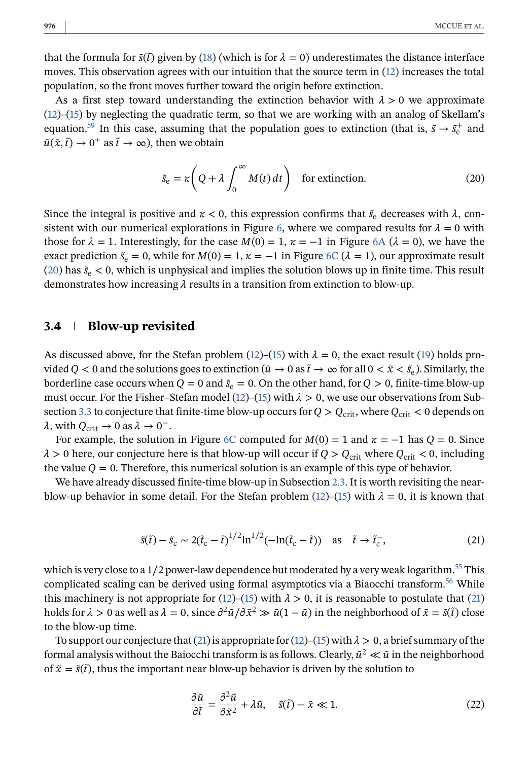<span id="page-12-0"></span>that the formula for  $\tilde{s}(t)$  given by [\(18\)](#page-10-0) (which is for  $\lambda = 0$ ) underestimates the distance interface moves. This observation agrees with our intuition that the source term in [\(12\)](#page-9-0) increases the total population, so the front moves further toward the origin before extinction.

As a first step toward understanding the extinction behavior with  $\lambda > 0$  we approximate [\(12\)](#page-9-0)–[\(15\)](#page-9-0) by neglecting the quadratic term, so that we are working with an analog of Skellam's equation.<sup>59</sup> In this case, assuming that the population goes to extinction (that is,  $\tilde{s} \to \tilde{s}_e^+$  and  $\tilde{u}(\tilde{x}, \tilde{t}) \rightarrow 0^+$  as  $\tilde{t} \rightarrow \infty$ ), then we obtain

$$
\tilde{s}_{e} = \kappa \left( Q + \lambda \int_{0}^{\infty} M(t) dt \right) \quad \text{for extinction.} \tag{20}
$$

Since the integral is positive and  $\kappa < 0$ , this expression confirms that  $\tilde{s}_e$  decreases with  $\lambda$ , con-sistent with our numerical explorations in Figure [6,](#page-11-0) where we compared results for  $\lambda = 0$  with those for  $\lambda = 1$ . Interestingly, for the case  $M(0) = 1$ ,  $\kappa = -1$  in Figure [6A](#page-11-0) ( $\lambda = 0$ ), we have the exact prediction  $\tilde{s}_e = 0$ , while for  $M(0) = 1$ ,  $\kappa = -1$  in Figure [6C](#page-11-0) ( $\lambda = 1$ ), our approximate result (20) has  $\tilde{s}_{e}$  < 0, which is unphysical and implies the solution blows up in finite time. This result demonstrates how increasing  $\lambda$  results in a transition from extinction to blow-up.

## **3.4 Blow-up revisited**

As discussed above, for the Stefan problem [\(12\)](#page-9-0)–[\(15\)](#page-9-0) with  $\lambda = 0$ , the exact result [\(19\)](#page-10-0) holds provided Q < 0 and the solutions goes to extinction ( $\tilde{u} \to 0$  as  $\tilde{t} \to \infty$  for all  $0 < \tilde{x} < \tilde{s}_e$ ). Similarly, the borderline case occurs when  $Q = 0$  and  $\tilde{s}_e = 0$ . On the other hand, for  $Q > 0$ , finite-time blow-up must occur. For the Fisher–Stefan model [\(12\)](#page-9-0)–[\(15\)](#page-9-0) with  $\lambda > 0$ , we use our observations from Sub-section [3.3](#page-11-0) to conjecture that finite-time blow-up occurs for  $Q > Q_{\text{crit}}$ , where  $Q_{\text{crit}} < 0$  depends on  $\lambda$ , with  $Q_{\text{crit}} \to 0$  as  $\lambda \to 0^-$ .

For example, the solution in Figure [6C](#page-11-0) computed for  $M(0) = 1$  and  $\kappa = -1$  has  $Q = 0$ . Since  $\lambda > 0$  here, our conjecture here is that blow-up will occur if  $Q > Q_{\text{crit}}$  where  $Q_{\text{crit}} < 0$ , including the value  $Q = 0$ . Therefore, this numerical solution is an example of this type of behavior.

We have already discussed finite-time blow-up in Subsection [2.3.](#page-6-0) It is worth revisiting the near-blow-up behavior in some detail. For the Stefan problem [\(12\)](#page-9-0)–[\(15\)](#page-9-0) with  $\lambda = 0$ , it is known that

$$
\tilde{s}(\tilde{t}) - \tilde{s}_{\rm c} \sim 2(\tilde{t}_{\rm c} - \tilde{t})^{1/2} \ln^{1/2} (-\ln(\tilde{t}_{\rm c} - \tilde{t})) \quad \text{as} \quad \tilde{t} \to \tilde{t}_{\rm c}^-, \tag{21}
$$

which is very close to a  $1/2$  power-law dependence but moderated by a very weak logarithm.<sup>55</sup> This complicated scaling can be derived using formal asymptotics via a Biaocchi transform.<sup>56</sup> While this machinery is not appropriate for [\(12\)](#page-9-0)–[\(15\)](#page-9-0) with  $\lambda > 0$ , it is reasonable to postulate that (21) holds for  $\lambda > 0$  as well as  $\lambda = 0$ , since  $\frac{\partial^2 \tilde{u}}{\partial \tilde{x}^2} \gg \tilde{u}(1 - \tilde{u})$  in the neighborhood of  $\tilde{x} = \tilde{s}(\tilde{t})$  close to the blow-up time.

To support our conjecture that (21) is appropriate for [\(12\)](#page-9-0)–[\(15\)](#page-9-0) with  $\lambda > 0$ , a brief summary of the formal analysis without the Baiocchi transform is as follows. Clearly,  $\tilde{u}^2 \ll \tilde{u}$  in the neighborhood of  $\tilde{x} = \tilde{s}(\tilde{t})$ , thus the important near blow-up behavior is driven by the solution to

$$
\frac{\partial \tilde{u}}{\partial \tilde{t}} = \frac{\partial^2 \tilde{u}}{\partial \tilde{x}^2} + \lambda \tilde{u}, \quad \tilde{s}(\tilde{t}) - \tilde{x} \ll 1.
$$
 (22)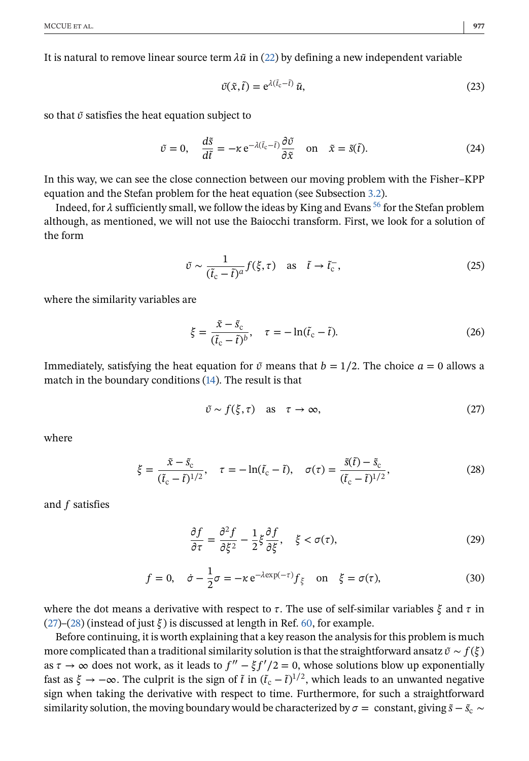<span id="page-13-0"></span>It is natural to remove linear source term  $\lambda \tilde{u}$  in [\(22\)](#page-12-0) by defining a new independent variable

$$
\tilde{v}(\tilde{x},\tilde{t}) = e^{\lambda(\tilde{t}_c - \tilde{t})}\tilde{u},\tag{23}
$$

so that  $\tilde{v}$  satisfies the heat equation subject to

$$
\tilde{v} = 0, \quad \frac{d\tilde{s}}{d\tilde{t}} = -\kappa e^{-\lambda(\tilde{t}_c - \tilde{t})} \frac{\partial \tilde{v}}{\partial \tilde{x}} \quad \text{on} \quad \tilde{x} = \tilde{s}(\tilde{t}). \tag{24}
$$

In this way, we can see the close connection between our moving problem with the Fisher–KPP equation and the Stefan problem for the heat equation (see Subsection [3.2\)](#page-9-0).

Indeed, for  $\lambda$  sufficiently small, we follow the ideas by King and Evans <sup>[56](#page-20-0)</sup> for the Stefan problem although, as mentioned, we will not use the Baiocchi transform. First, we look for a solution of the form

$$
\tilde{v} \sim \frac{1}{(\tilde{t}_{\rm c} - \tilde{t})^a} f(\xi, \tau) \quad \text{as} \quad \tilde{t} \to \tilde{t}_{\rm c}^-, \tag{25}
$$

where the similarity variables are

$$
\xi = \frac{\tilde{x} - \tilde{s}_c}{(\tilde{t}_c - \tilde{t})^b}, \quad \tau = -\ln(\tilde{t}_c - \tilde{t}).
$$
\n(26)

Immediately, satisfying the heat equation for  $\tilde{v}$  means that  $b = 1/2$ . The choice  $a = 0$  allows a match in the boundary conditions [\(14\)](#page-9-0). The result is that

$$
\tilde{v} \sim f(\xi, \tau) \quad \text{as} \quad \tau \to \infty,\tag{27}
$$

where

$$
\xi = \frac{\tilde{x} - \tilde{s}_c}{(\tilde{t}_c - \tilde{t})^{1/2}}, \quad \tau = -\ln(\tilde{t}_c - \tilde{t}), \quad \sigma(\tau) = \frac{\tilde{s}(\tilde{t}) - \tilde{s}_c}{(\tilde{t}_c - \tilde{t})^{1/2}},
$$
(28)

and  $f$  satisfies

$$
\frac{\partial f}{\partial \tau} = \frac{\partial^2 f}{\partial \xi^2} - \frac{1}{2} \xi \frac{\partial f}{\partial \xi}, \quad \xi < \sigma(\tau),\tag{29}
$$

$$
f = 0, \quad \dot{\sigma} - \frac{1}{2}\sigma = -\kappa e^{-\lambda \exp(-\tau)} f_{\xi} \quad \text{on} \quad \xi = \sigma(\tau), \tag{30}
$$

where the dot means a derivative with respect to  $\tau$ . The use of self-similar variables  $\xi$  and  $\tau$  in (27)–(28) (instead of just  $\xi$ ) is discussed at length in Ref. [60,](#page-20-0) for example.

Before continuing, it is worth explaining that a key reason the analysis for this problem is much more complicated than a traditional similarity solution is that the straightforward ansatz  $\tilde{v} \sim f(\xi)$ as  $\tau \to \infty$  does not work, as it leads to  $f'' - \xi f'/2 = 0$ , whose solutions blow up exponentially fast as  $\xi \to -\infty$ . The culprit is the sign of  $\tilde{t}$  in  $(\tilde{t}_c - \tilde{t})^{1/2}$ , which leads to an unwanted negative sign when taking the derivative with respect to time. Furthermore, for such a straightforward similarity solution, the moving boundary would be characterized by  $\sigma =$  constant, giving  $\tilde{s} - \tilde{s}_c$  ∼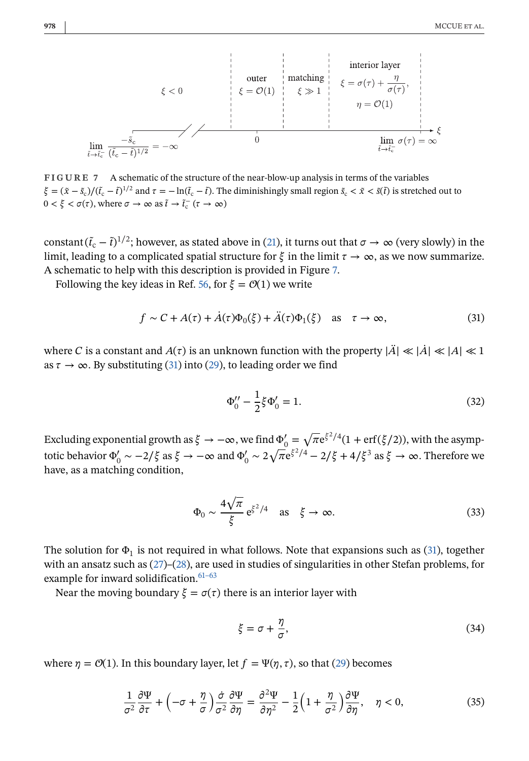<span id="page-14-0"></span>
$$
\xi < 0
$$
\n
$$
\xi < 0
$$
\n
$$
\xi = \mathcal{O}(1)
$$
\n
$$
\xi \gg 1
$$
\n
$$
\eta = \mathcal{O}(1)
$$
\n
$$
\lim_{\tilde{t} \to \tilde{t}_{\tilde{c}}} \frac{-\tilde{s}_{\tilde{c}}}{(\tilde{t}_{\tilde{c}} - \tilde{t})^{1/2}} = -\infty
$$
\nif  $\tilde{t}$  is the function  $\tilde{t}$  and  $\tilde{t}$  is the function  $\tilde{t}$  and  $\tilde{t}$  is the function  $\tilde{t}$  and  $\tilde{t}$  is the function  $\tilde{t}$  and  $\tilde{t}$  is the function  $\tilde{t}$  and  $\tilde{t}$  is the function  $\tilde{t}$  and  $\tilde{t}$  is the function  $\tilde{t}$  and  $\tilde{t}$  is the function  $\tilde{t}$  and  $\tilde{t}$  is the function  $\tilde{t}$  and  $\tilde{t}$  is the function  $\tilde{t}$  and  $\tilde{t}$  is the function  $\tilde{t}$  and  $\tilde{t}$  is the function  $\tilde{t}$  and  $\tilde{t}$  is the function  $\tilde{t}$  and  $\tilde{t}$  is the function  $\tilde{t}$  and  $\tilde{t}$  is the function  $\tilde{t}$  and  $\tilde{t}$  is the function  $\tilde{t}$  and  $\tilde{t}$  is the function  $\tilde{t}$  and  $\tilde{t}$  is the function  $\tilde{t}$  and  $\tilde{t}$  is the function  $\tilde{t}$  and  $\tilde{t}$  is the function  $\tilde{t}$  and  $\tilde{t}$  is the function  $\tilde{t}$  and  $\tilde{t}$  is the function  $\tilde{t}$  and  $\tilde{t}$  is the function  $\tilde{t}$  and  $\tilde{t}$  is the function  $\tilde{t}$  and  $\tilde{t}$  is the function  $\tilde{t}$  and <

**FIGURE 7** A schematic of the structure of the near-blow-up analysis in terms of the variables  $\xi = (\tilde{x} - \tilde{s}_c)/(\tilde{t}_c - \tilde{t})^{1/2}$  and  $\tau = -\ln(\tilde{t}_c - \tilde{t})$ . The diminishingly small region  $\tilde{s}_c < \tilde{x} < \tilde{s}(\tilde{t})$  is stretched out to  $0 < \xi < \sigma(\tau)$ , where  $\sigma \to \infty$  as  $\tilde{t} \to \tilde{t}_c^-(\tau \to \infty)$ 

constant  $(\tilde{t}_c - \tilde{t})^{1/2}$ ; however, as stated above in [\(21\)](#page-12-0), it turns out that  $\sigma \to \infty$  (very slowly) in the limit, leading to a complicated spatial structure for  $\xi$  in the limit  $\tau \to \infty$ , as we now summarize. A schematic to help with this description is provided in Figure 7.

Following the key ideas in Ref. [56,](#page-20-0) for  $\xi = \mathcal{O}(1)$  we write

$$
f \sim C + A(\tau) + \dot{A}(\tau)\Phi_0(\xi) + \ddot{A}(\tau)\Phi_1(\xi) \quad \text{as} \quad \tau \to \infty,
$$
 (31)

where C is a constant and  $A(\tau)$  is an unknown function with the property  $|\ddot{A}| \ll |\dot{A}| \ll |A| \ll 1$ as  $\tau \to \infty$ . By substituting (31) into [\(29\)](#page-13-0), to leading order we find

$$
\Phi_0'' - \frac{1}{2}\xi \Phi_0' = 1.
$$
\n(32)

Excluding exponential growth as  $\xi \to -\infty$ , we find  $\Phi'_0 = \sqrt{\pi} e^{\xi^2/4} (1 + erf(\xi/2))$ , with the asymptotic behavior  $\Phi'_0 \sim -2/\xi$  as  $\xi \to -\infty$  and  $\Phi'_0 \sim 2\sqrt{\pi}e^{\xi^2/4} - 2/\xi + 4/\xi^3$  as  $\xi \to \infty$ . Therefore we have, as a matching condition,

$$
\Phi_0 \sim \frac{4\sqrt{\pi}}{\xi} e^{\xi^2/4} \quad \text{as} \quad \xi \to \infty. \tag{33}
$$

The solution for  $\Phi_1$  is not required in what follows. Note that expansions such as (31), together with an ansatz such as [\(27\)](#page-13-0)–[\(28\)](#page-13-0), are used in studies of singularities in other Stefan problems, for example for inward solidification. $61-63$ 

Near the moving boundary  $\xi = \sigma(\tau)$  there is an interior layer with

$$
\xi = \sigma + \frac{\eta}{\sigma},\tag{34}
$$

where  $\eta = \mathcal{O}(1)$ . In this boundary layer, let  $f = \Psi(\eta, \tau)$ , so that [\(29\)](#page-13-0) becomes

$$
\frac{1}{\sigma^2} \frac{\partial \Psi}{\partial \tau} + \left( -\sigma + \frac{\eta}{\sigma} \right) \frac{\dot{\sigma}}{\sigma^2} \frac{\partial \Psi}{\partial \eta} = \frac{\partial^2 \Psi}{\partial \eta^2} - \frac{1}{2} \left( 1 + \frac{\eta}{\sigma^2} \right) \frac{\partial \Psi}{\partial \eta}, \quad \eta < 0,\tag{35}
$$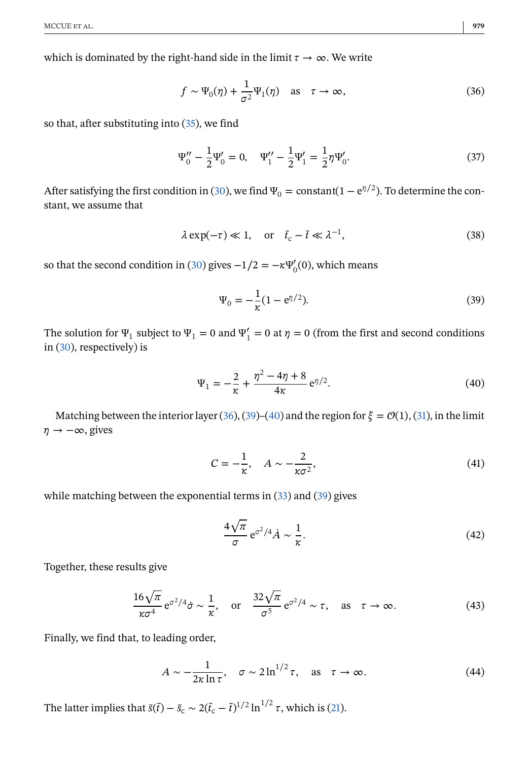<span id="page-15-0"></span>which is dominated by the right-hand side in the limit  $\tau \to \infty$ . We write

$$
f \sim \Psi_0(\eta) + \frac{1}{\sigma^2} \Psi_1(\eta)
$$
 as  $\tau \to \infty$ , (36)

so that, after substituting into [\(35\)](#page-14-0), we find

$$
\Psi_0'' - \frac{1}{2} \Psi_0' = 0, \quad \Psi_1'' - \frac{1}{2} \Psi_1' = \frac{1}{2} \eta \Psi_0'.
$$
 (37)

After satisfying the first condition in [\(30\)](#page-13-0), we find  $\Psi_0 = \text{constant}(1 - e^{\eta/2})$ . To determine the constant, we assume that

$$
\lambda \exp(-\tau) \ll 1, \quad \text{or} \quad \tilde{t}_{\rm c} - \tilde{t} \ll \lambda^{-1}, \tag{38}
$$

so that the second condition in [\(30\)](#page-13-0) gives  $-1/2 = -\kappa \Psi_0'(0)$ , which means

$$
\Psi_0 = -\frac{1}{\kappa} (1 - e^{\eta/2}).
$$
\n(39)

The solution for  $\Psi_1$  subject to  $\Psi_1 = 0$  and  $\Psi_1' = 0$  at  $\eta = 0$  (from the first and second conditions in [\(30\)](#page-13-0), respectively) is

$$
\Psi_1 = -\frac{2}{\kappa} + \frac{\eta^2 - 4\eta + 8}{4\kappa} e^{\eta/2}.
$$
 (40)

Matching between the interior layer (36), (39)–(40) and the region for  $\xi = \mathcal{O}(1)$ , [\(31\)](#page-14-0), in the limit  $\eta \rightarrow -\infty$ , gives

$$
C = -\frac{1}{\kappa}, \quad A \sim -\frac{2}{\kappa \sigma^2},\tag{41}
$$

while matching between the exponential terms in [\(33\)](#page-14-0) and (39) gives

$$
\frac{4\sqrt{\pi}}{\sigma} e^{\sigma^2/4} \dot{A} \sim \frac{1}{\kappa}.\tag{42}
$$

Together, these results give

$$
\frac{16\sqrt{\pi}}{\kappa\sigma^4} e^{\sigma^2/4} \dot{\sigma} \sim \frac{1}{\kappa}, \quad \text{or} \quad \frac{32\sqrt{\pi}}{\sigma^5} e^{\sigma^2/4} \sim \tau, \quad \text{as} \quad \tau \to \infty.
$$
 (43)

Finally, we find that, to leading order,

$$
A \sim -\frac{1}{2\kappa \ln \tau}, \quad \sigma \sim 2 \ln^{1/2} \tau, \quad \text{as} \quad \tau \to \infty.
$$
 (44)

The latter implies that  $\tilde{s}(\tilde{t}) - \tilde{s}_{c} \sim 2(\tilde{t}_{c} - \tilde{t})^{1/2} \ln^{1/2} \tau$ , which is [\(21\)](#page-12-0).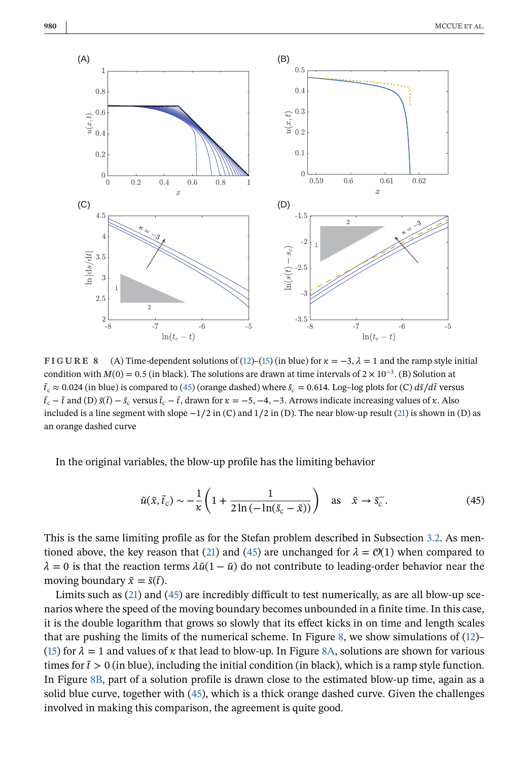<span id="page-16-0"></span>

**FIGURE 8** (A) Time-dependent solutions of [\(12\)](#page-9-0)–[\(15\)](#page-9-0) (in blue) for  $\kappa = -3$ ,  $\lambda = 1$  and the ramp style initial condition with  $M(0) = 0.5$  (in black). The solutions are drawn at time intervals of  $2 \times 10^{-3}$ . (B) Solution at  $\tilde{t}_c \approx 0.024$  (in blue) is compared to (45) (orange dashed) where  $\tilde{s}_c = 0.614$ . Log–log plots for (C)  $d\tilde{s}/d\tilde{t}$  versus  $\tilde{t}_c - \tilde{t}$  and (D)  $\tilde{s}(\tilde{t}) - \tilde{s}_c$  versus  $\tilde{t}_c - \tilde{t}$ , drawn for  $\kappa = -5, -4, -3$ . Arrows indicate increasing values of  $\kappa$ . Also included is a line segment with slope  $-1/2$  in (C) and  $1/2$  in (D). The near blow-up result [\(21\)](#page-12-0) is shown in (D) as an orange dashed curve

In the original variables, the blow-up profile has the limiting behavior

$$
\tilde{u}(\tilde{x}, \tilde{t}_c) \sim -\frac{1}{\kappa} \left( 1 + \frac{1}{2 \ln \left( -\ln(\tilde{s}_c - \tilde{x}) \right)} \right) \quad \text{as} \quad \tilde{x} \to \tilde{s}_c^-. \tag{45}
$$

This is the same limiting profile as for the Stefan problem described in Subsection [3.2.](#page-9-0) As men-tioned above, the key reason that [\(21\)](#page-12-0) and (45) are unchanged for  $\lambda = \mathcal{O}(1)$  when compared to  $\lambda = 0$  is that the reaction terms  $\lambda \tilde{u}(1 - \tilde{u})$  do not contribute to leading-order behavior near the moving boundary  $\tilde{x} = \tilde{s}(\tilde{t})$ .

Limits such as [\(21\)](#page-12-0) and (45) are incredibly difficult to test numerically, as are all blow-up scenarios where the speed of the moving boundary becomes unbounded in a finite time. In this case, it is the double logarithm that grows so slowly that its effect kicks in on time and length scales that are pushing the limits of the numerical scheme. In Figure 8, we show simulations of [\(12\)](#page-9-0)– [\(15\)](#page-9-0) for  $\lambda = 1$  and values of  $\kappa$  that lead to blow-up. In Figure 8A, solutions are shown for various times for  $\tilde{t} > 0$  (in blue), including the initial condition (in black), which is a ramp style function. In Figure 8B, part of a solution profile is drawn close to the estimated blow-up time, again as a solid blue curve, together with (45), which is a thick orange dashed curve. Given the challenges involved in making this comparison, the agreement is quite good.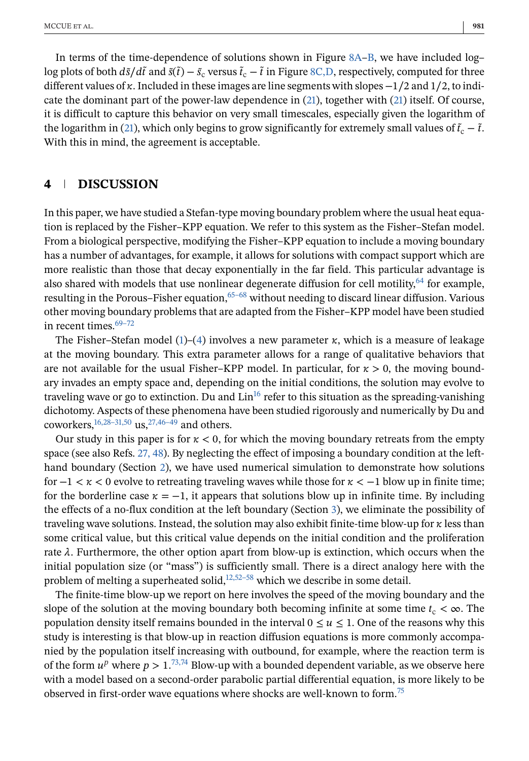<span id="page-17-0"></span>In terms of the time-dependence of solutions shown in Figure [8A–B,](#page-16-0) we have included log– log plots of both  $d\tilde{s}/d\tilde{t}$  and  $\tilde{s}(\tilde{t}) - \tilde{s}_{c}$  versus  $\tilde{t}_{c} - \tilde{t}$  in Figure [8C,D,](#page-16-0) respectively, computed for three different values of  $\kappa$ . Included in these images are line segments with slopes  $-1/2$  and  $1/2$ , to indicate the dominant part of the power-law dependence in [\(21\)](#page-12-0), together with [\(21\)](#page-12-0) itself. Of course, it is difficult to capture this behavior on very small timescales, especially given the logarithm of the logarithm in [\(21\)](#page-12-0), which only begins to grow significantly for extremely small values of  $\tilde{t}_c - \tilde{t}$ . With this in mind, the agreement is acceptable.

## **4 DISCUSSION**

In this paper, we have studied a Stefan-type moving boundary problem where the usual heat equation is replaced by the Fisher–KPP equation. We refer to this system as the Fisher–Stefan model. From a biological perspective, modifying the Fisher–KPP equation to include a moving boundary has a number of advantages, for example, it allows for solutions with compact support which are more realistic than those that decay exponentially in the far field. This particular advantage is also shared with models that use nonlinear degenerate diffusion for cell motility,  $64$  for example, resulting in the Porous–Fisher equation,  $65-68$  without needing to discard linear diffusion. Various other moving boundary problems that are adapted from the Fisher–KPP model have been studied in recent times.<sup>69-72</sup>

The Fisher–Stefan model [\(1\)](#page-1-0)–[\(4\)](#page-1-0) involves a new parameter  $\kappa$ , which is a measure of leakage at the moving boundary. This extra parameter allows for a range of qualitative behaviors that are not available for the usual Fisher–KPP model. In particular, for  $\kappa > 0$ , the moving boundary invades an empty space and, depending on the initial conditions, the solution may evolve to traveling wave or go to extinction. Du and  $Lin<sup>16</sup>$  refer to this situation as the spreading-vanishing dichotomy. Aspects of these phenomena have been studied rigorously and numerically by Du and coworkers,  $^{16,28-31,50}$  us,  $^{27,46-49}$  and others.

Our study in this paper is for  $\kappa < 0$ , for which the moving boundary retreats from the empty space (see also Refs. [27, 48\)](#page-19-0). By neglecting the effect of imposing a boundary condition at the lefthand boundary (Section [2\)](#page-3-0), we have used numerical simulation to demonstrate how solutions for  $-1 < \kappa < 0$  evolve to retreating traveling waves while those for  $\kappa < -1$  blow up in finite time; for the borderline case  $\kappa = -1$ , it appears that solutions blow up in infinite time. By including the effects of a no-flux condition at the left boundary (Section [3\)](#page-9-0), we eliminate the possibility of traveling wave solutions. Instead, the solution may also exhibit finite-time blow-up for  $\kappa$  less than some critical value, but this critical value depends on the initial condition and the proliferation rate  $\lambda$ . Furthermore, the other option apart from blow-up is extinction, which occurs when the initial population size (or "mass") is sufficiently small. There is a direct analogy here with the problem of melting a superheated solid, $12,52-58$  which we describe in some detail.

The finite-time blow-up we report on here involves the speed of the moving boundary and the slope of the solution at the moving boundary both becoming infinite at some time  $t_c < \infty$ . The population density itself remains bounded in the interval  $0 \le u \le 1$ . One of the reasons why this study is interesting is that blow-up in reaction diffusion equations is more commonly accompanied by the population itself increasing with outbound, for example, where the reaction term is of the form  $u^p$  where  $p > 1$ .<sup>[73,74](#page-21-0)</sup> Blow-up with a bounded dependent variable, as we observe here with a model based on a second-order parabolic partial differential equation, is more likely to be observed in first-order wave equations where shocks are well-known to form.<sup>75</sup>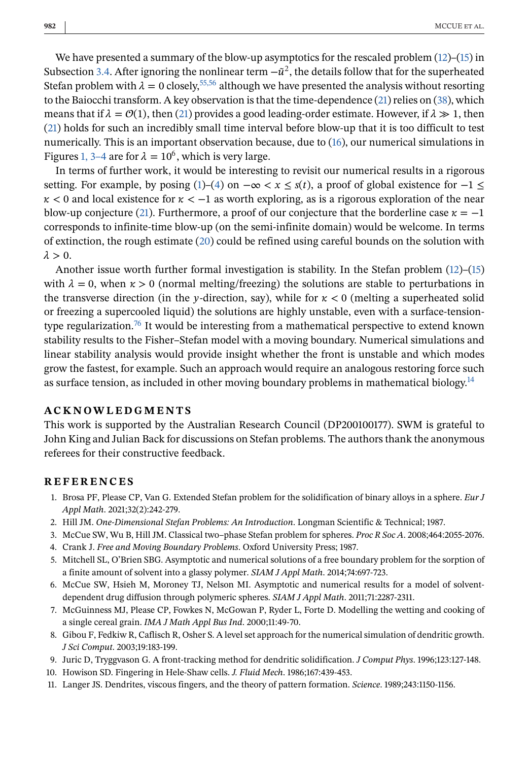<span id="page-18-0"></span>We have presented a summary of the blow-up asymptotics for the rescaled problem  $(12)$ – $(15)$  in Subsection [3.4.](#page-12-0) After ignoring the nonlinear term  $-\tilde{u}^2$ , the details follow that for the superheated Stefan problem with  $\lambda = 0$  closely,  $55,56$  although we have presented the analysis without resorting to the Baiocchi transform. A key observation is that the time-dependence [\(21\)](#page-12-0) relies on [\(38\)](#page-15-0), which means that if  $\lambda = \mathcal{O}(1)$ , then [\(21\)](#page-12-0) provides a good leading-order estimate. However, if  $\lambda \gg 1$ , then [\(21\)](#page-12-0) holds for such an incredibly small time interval before blow-up that it is too difficult to test numerically. This is an important observation because, due to [\(16\)](#page-9-0), our numerical simulations in Figures [1, 3–4](#page-4-0) are for  $\lambda = 10^6$ , which is very large.

In terms of further work, it would be interesting to revisit our numerical results in a rigorous setting. For example, by posing [\(1\)](#page-1-0)–[\(4\)](#page-1-0) on  $-\infty < x \leq s(t)$ , a proof of global existence for  $-1 \leq$  $\kappa$  < 0 and local existence for  $\kappa$  < −1 as worth exploring, as is a rigorous exploration of the near blow-up conjecture [\(21\)](#page-12-0). Furthermore, a proof of our conjecture that the borderline case  $\kappa = -1$ corresponds to infinite-time blow-up (on the semi-infinite domain) would be welcome. In terms of extinction, the rough estimate [\(20\)](#page-12-0) could be refined using careful bounds on the solution with  $\lambda > 0$ .

Another issue worth further formal investigation is stability. In the Stefan problem [\(12\)](#page-9-0)–[\(15\)](#page-9-0) with  $\lambda = 0$ , when  $\kappa > 0$  (normal melting/freezing) the solutions are stable to perturbations in the transverse direction (in the y-direction, say), while for  $\kappa < 0$  (melting a superheated solid or freezing a supercooled liquid) the solutions are highly unstable, even with a surface-tensiontype regularization.<sup>76</sup> It would be interesting from a mathematical perspective to extend known stability results to the Fisher–Stefan model with a moving boundary. Numerical simulations and linear stability analysis would provide insight whether the front is unstable and which modes grow the fastest, for example. Such an approach would require an analogous restoring force such as surface tension, as included in other moving boundary problems in mathematical biology.<sup>[14](#page-19-0)</sup>

#### **ACKNOWLEDGMENTS**

This work is supported by the Australian Research Council (DP200100177). SWM is grateful to John King and Julian Back for discussions on Stefan problems. The authors thank the anonymous referees for their constructive feedback.

#### **REFERENCES**

- 1. Brosa PF, Please CP, Van G. Extended Stefan problem for the solidification of binary alloys in a sphere. *Eur J Appl Math*. 2021;32(2):242-279.
- 2. Hill JM. *One-Dimensional Stefan Problems: An Introduction*. Longman Scientific & Technical; 1987.
- 3. McCue SW, Wu B, Hill JM. Classical two–phase Stefan problem for spheres. *Proc R Soc A*. 2008;464:2055-2076.
- 4. Crank J. *Free and Moving Boundary Problems*. Oxford University Press; 1987.
- 5. Mitchell SL, O'Brien SBG. Asymptotic and numerical solutions of a free boundary problem for the sorption of a finite amount of solvent into a glassy polymer. *SIAM J Appl Math*. 2014;74:697-723.
- 6. McCue SW, Hsieh M, Moroney TJ, Nelson MI. Asymptotic and numerical results for a model of solventdependent drug diffusion through polymeric spheres. *SIAM J Appl Math*. 2011;71:2287-2311.
- 7. McGuinness MJ, Please CP, Fowkes N, McGowan P, Ryder L, Forte D. Modelling the wetting and cooking of a single cereal grain. *IMA J Math Appl Bus Ind*. 2000;11:49-70.
- 8. Gibou F, Fedkiw R, Caflisch R, Osher S. A level set approach for the numerical simulation of dendritic growth. *J Sci Comput*. 2003;19:183-199.
- 9. Juric D, Tryggvason G. A front-tracking method for dendritic solidification. *J Comput Phys*. 1996;123:127-148.
- 10. Howison SD. Fingering in Hele-Shaw cells. *J. Fluid Mech*. 1986;167:439-453.
- 11. Langer JS. Dendrites, viscous fingers, and the theory of pattern formation. *Science*. 1989;243:1150-1156.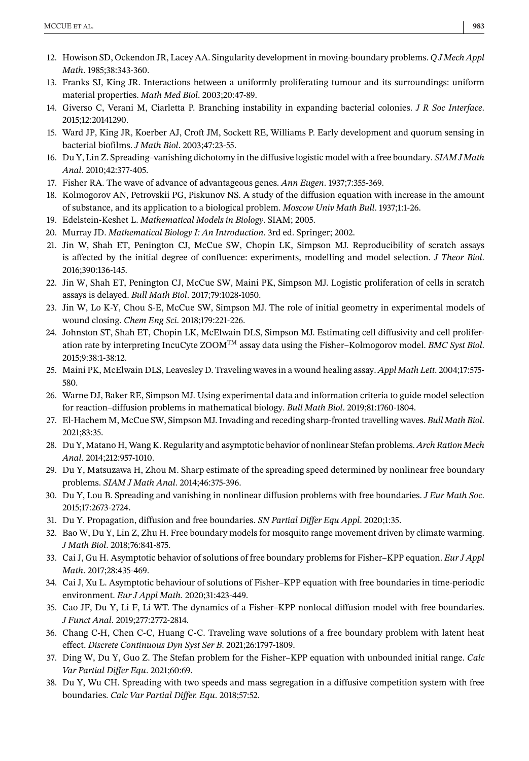- <span id="page-19-0"></span>12. Howison SD, Ockendon JR, Lacey AA. Singularity development in moving-boundary problems. *Q J Mech Appl Math*. 1985;38:343-360.
- 13. Franks SJ, King JR. Interactions between a uniformly proliferating tumour and its surroundings: uniform material properties. *Math Med Biol*. 2003;20:47-89.
- 14. Giverso C, Verani M, Ciarletta P. Branching instability in expanding bacterial colonies. *J R Soc Interface*. 2015;12:20141290.
- 15. Ward JP, King JR, Koerber AJ, Croft JM, Sockett RE, Williams P. Early development and quorum sensing in bacterial biofilms. *J Math Biol*. 2003;47:23-55.
- 16. Du Y, Lin Z. Spreading–vanishing dichotomy in the diffusive logistic model with a free boundary. *SIAM J Math Anal*. 2010;42:377-405.
- 17. Fisher RA. The wave of advance of advantageous genes. *Ann Eugen*. 1937;7:355-369.
- 18. Kolmogorov AN, Petrovskii PG, Piskunov NS. A study of the diffusion equation with increase in the amount of substance, and its application to a biological problem. *Moscow Univ Math Bull*. 1937;1:1-26.
- 19. Edelstein-Keshet L. *Mathematical Models in Biology*. SIAM; 2005.
- 20. Murray JD. *Mathematical Biology I: An Introduction*. 3rd ed. Springer; 2002.
- 21. Jin W, Shah ET, Penington CJ, McCue SW, Chopin LK, Simpson MJ. Reproducibility of scratch assays is affected by the initial degree of confluence: experiments, modelling and model selection. *J Theor Biol*. 2016;390:136-145.
- 22. Jin W, Shah ET, Penington CJ, McCue SW, Maini PK, Simpson MJ. Logistic proliferation of cells in scratch assays is delayed. *Bull Math Biol*. 2017;79:1028-1050.
- 23. Jin W, Lo K-Y, Chou S-E, McCue SW, Simpson MJ. The role of initial geometry in experimental models of wound closing. *Chem Eng Sci*. 2018;179:221-226.
- 24. Johnston ST, Shah ET, Chopin LK, McElwain DLS, Simpson MJ. Estimating cell diffusivity and cell proliferation rate by interpreting IncuCyte ZOOMTM assay data using the Fisher–Kolmogorov model. *BMC Syst Biol*. 2015;9:38:1-38:12.
- 25. Maini PK, McElwain DLS, Leavesley D. Traveling waves in a wound healing assay. *Appl Math Lett*. 2004;17:575- 580.
- 26. Warne DJ, Baker RE, Simpson MJ. Using experimental data and information criteria to guide model selection for reaction–diffusion problems in mathematical biology. *Bull Math Biol*. 2019;81:1760-1804.
- 27. El-Hachem M, McCue SW, Simpson MJ. Invading and receding sharp-fronted travelling waves. *Bull Math Biol*. 2021;83:35.
- 28. Du Y, Matano H, Wang K. Regularity and asymptotic behavior of nonlinear Stefan problems. *Arch Ration Mech Anal*. 2014;212:957-1010.
- 29. Du Y, Matsuzawa H, Zhou M. Sharp estimate of the spreading speed determined by nonlinear free boundary problems. *SIAM J Math Anal*. 2014;46:375-396.
- 30. Du Y, Lou B. Spreading and vanishing in nonlinear diffusion problems with free boundaries. *J Eur Math Soc*. 2015;17:2673-2724.
- 31. Du Y. Propagation, diffusion and free boundaries. *SN Partial Differ Equ Appl*. 2020;1:35.
- 32. Bao W, Du Y, Lin Z, Zhu H. Free boundary models for mosquito range movement driven by climate warming. *J Math Biol*. 2018;76:841-875.
- 33. Cai J, Gu H. Asymptotic behavior of solutions of free boundary problems for Fisher–KPP equation. *Eur J Appl Math*. 2017;28:435-469.
- 34. Cai J, Xu L. Asymptotic behaviour of solutions of Fisher–KPP equation with free boundaries in time-periodic environment. *Eur J Appl Math*. 2020;31:423-449.
- 35. Cao JF, Du Y, Li F, Li WT. The dynamics of a Fisher–KPP nonlocal diffusion model with free boundaries. *J Funct Anal*. 2019;277:2772-2814.
- 36. Chang C-H, Chen C-C, Huang C-C. Traveling wave solutions of a free boundary problem with latent heat effect. *Discrete Continuous Dyn Syst Ser B*. 2021;26:1797-1809.
- 37. Ding W, Du Y, Guo Z. The Stefan problem for the Fisher–KPP equation with unbounded initial range. *Calc Var Partial Differ Equ*. 2021;60:69.
- 38. Du Y, Wu CH. Spreading with two speeds and mass segregation in a diffusive competition system with free boundaries. *Calc Var Partial Differ. Equ*. 2018;57:52.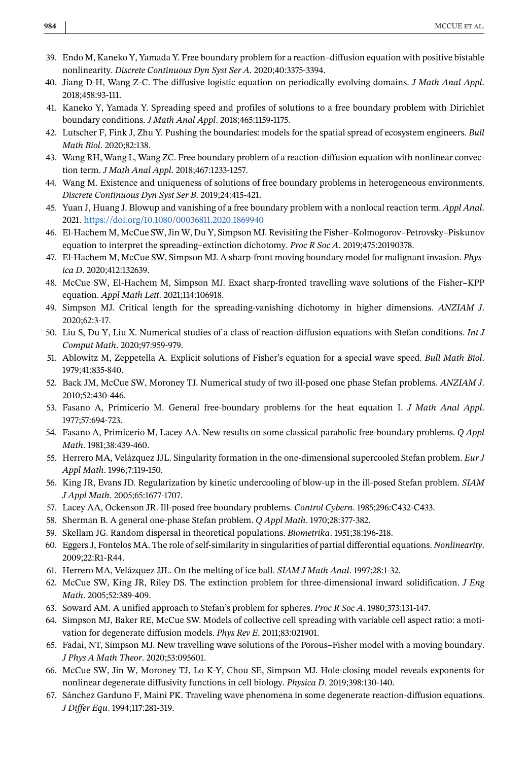- <span id="page-20-0"></span>39. Endo M, Kaneko Y, Yamada Y. Free boundary problem for a reaction–diffusion equation with positive bistable nonlinearity. *Discrete Continuous Dyn Syst Ser A*. 2020;40:3375-3394.
- 40. Jiang D-H, Wang Z-C. The diffusive logistic equation on periodically evolving domains. *J Math Anal Appl*. 2018;458:93-111.
- 41. Kaneko Y, Yamada Y. Spreading speed and profiles of solutions to a free boundary problem with Dirichlet boundary conditions. *J Math Anal Appl*. 2018;465:1159-1175.
- 42. Lutscher F, Fink J, Zhu Y. Pushing the boundaries: models for the spatial spread of ecosystem engineers. *Bull Math Biol*. 2020;82:138.
- 43. Wang RH, Wang L, Wang ZC. Free boundary problem of a reaction-diffusion equation with nonlinear convection term. *J Math Anal Appl*. 2018;467:1233-1257.
- 44. Wang M. Existence and uniqueness of solutions of free boundary problems in heterogeneous environments. *Discrete Continuous Dyn Syst Ser B*. 2019;24:415-421.
- 45. Yuan J, Huang J. Blowup and vanishing of a free boundary problem with a nonlocal reaction term. *Appl Anal*. 2021. <https://doi.org/10.1080/00036811.2020.1869940>
- 46. El-Hachem M, McCue SW, Jin W, Du Y, Simpson MJ. Revisiting the Fisher–Kolmogorov–Petrovsky–Piskunov equation to interpret the spreading–extinction dichotomy. *Proc R Soc A*. 2019;475:20190378.
- 47. El-Hachem M, McCue SW, Simpson MJ. A sharp-front moving boundary model for malignant invasion. *Physica D*. 2020;412:132639.
- 48. McCue SW, El-Hachem M, Simpson MJ. Exact sharp-fronted travelling wave solutions of the Fisher–KPP equation. *Appl Math Lett*. 2021;114:106918.
- 49. Simpson MJ. Critical length for the spreading-vanishing dichotomy in higher dimensions. *ANZIAM J*. 2020;62:3-17.
- 50. Liu S, Du Y, Liu X. Numerical studies of a class of reaction-diffusion equations with Stefan conditions. *Int J Comput Math*. 2020;97:959-979.
- 51. Ablowitz M, Zeppetella A. Explicit solutions of Fisher's equation for a special wave speed. *Bull Math Biol*. 1979;41:835-840.
- 52. Back JM, McCue SW, Moroney TJ. Numerical study of two ill-posed one phase Stefan problems. *ANZIAM J*. 2010;52:430-446.
- 53. Fasano A, Primicerio M. General free-boundary problems for the heat equation I. *J Math Anal Appl*. 1977;57:694-723.
- 54. Fasano A, Primicerio M, Lacey AA. New results on some classical parabolic free-boundary problems. *Q Appl Math*. 1981;38:439-460.
- 55. Herrero MA, Velázquez JJL. Singularity formation in the one-dimensional supercooled Stefan problem. *Eur J Appl Math*. 1996;7:119-150.
- 56. King JR, Evans JD. Regularization by kinetic undercooling of blow-up in the ill-posed Stefan problem. *SIAM J Appl Math*. 2005;65:1677-1707.
- 57. Lacey AA, Ockenson JR. Ill-posed free boundary problems. *Control Cybern*. 1985;296:C432-C433.
- 58. Sherman B. A general one-phase Stefan problem. *Q Appl Math*. 1970;28:377-382.
- 59. Skellam JG. Random dispersal in theoretical populations. *Biometrika*. 1951;38:196-218.
- 60. Eggers J, Fontelos MA. The role of self-similarity in singularities of partial differential equations. *Nonlinearity*. 2009;22:R1-R44.
- 61. Herrero MA, Velázquez JJL. On the melting of ice ball. *SIAM J Math Anal*. 1997;28:1-32.
- 62. McCue SW, King JR, Riley DS. The extinction problem for three-dimensional inward solidification. *J Eng Math*. 2005;52:389-409.
- 63. Soward AM. A unified approach to Stefan's problem for spheres. *Proc R Soc A*. 1980;373:131-147.
- 64. Simpson MJ, Baker RE, McCue SW. Models of collective cell spreading with variable cell aspect ratio: a motivation for degenerate diffusion models. *Phys Rev E*. 2011;83:021901.
- 65. Fadai, NT, Simpson MJ. New travelling wave solutions of the Porous–Fisher model with a moving boundary. *J Phys A Math Theor*. 2020;53:095601.
- 66. McCue SW, Jin W, Moroney TJ, Lo K-Y, Chou SE, Simpson MJ. Hole-closing model reveals exponents for nonlinear degenerate diffusivity functions in cell biology. *Physica D*. 2019;398:130-140.
- 67. Sánchez Garduno F, Maini PK. Traveling wave phenomena in some degenerate reaction-diffusion equations. *J Differ Equ*. 1994;117:281-319.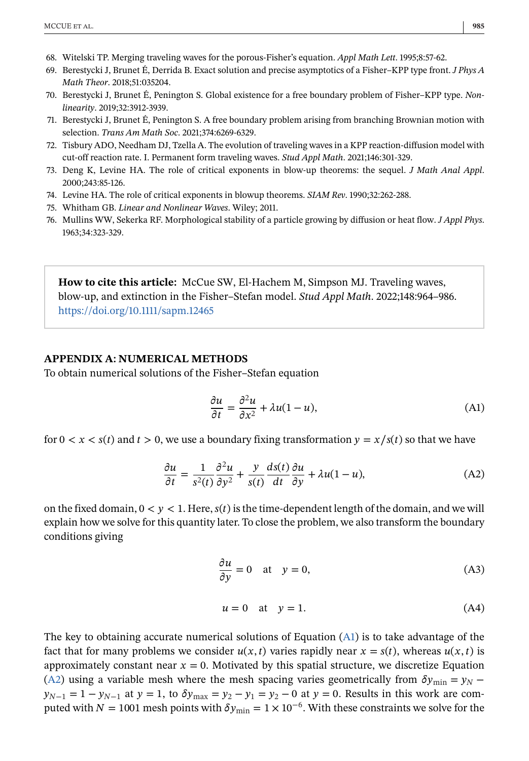- <span id="page-21-0"></span>68. Witelski TP. Merging traveling waves for the porous-Fisher's equation. *Appl Math Lett*. 1995;8:57-62.
- 69. Berestycki J, Brunet É, Derrida B. Exact solution and precise asymptotics of a Fisher–KPP type front. *J Phys A Math Theor*. 2018;51:035204.
- 70. Berestycki J, Brunet É, Penington S. Global existence for a free boundary problem of Fisher–KPP type. *Nonlinearity*. 2019;32:3912-3939.
- 71. Berestycki J, Brunet É, Penington S. A free boundary problem arising from branching Brownian motion with selection. *Trans Am Math Soc*. 2021;374:6269-6329.
- 72. Tisbury ADO, Needham DJ, Tzella A. The evolution of traveling waves in a KPP reaction-diffusion model with cut-off reaction rate. I. Permanent form traveling waves. *Stud Appl Math*. 2021;146:301-329.
- 73. Deng K, Levine HA. The role of critical exponents in blow-up theorems: the sequel. *J Math Anal Appl*. 2000;243:85-126.
- 74. Levine HA. The role of critical exponents in blowup theorems. *SIAM Rev*. 1990;32:262-288.
- 75. Whitham GB. *Linear and Nonlinear Waves*. Wiley; 2011.
- 76. Mullins WW, Sekerka RF. Morphological stability of a particle growing by diffusion or heat flow. *J Appl Phys*. 1963;34:323-329.

**How to cite this article:** McCue SW, El-Hachem M, Simpson MJ. Traveling waves, blow-up, and extinction in the Fisher–Stefan model. *Stud Appl Math*. 2022;148:964–986. <https://doi.org/10.1111/sapm.12465>

#### **APPENDIX A: NUMERICAL METHODS**

To obtain numerical solutions of the Fisher–Stefan equation

$$
\frac{\partial u}{\partial t} = \frac{\partial^2 u}{\partial x^2} + \lambda u (1 - u),\tag{A1}
$$

for  $0 < x < s(t)$  and  $t > 0$ , we use a boundary fixing transformation  $y = x/s(t)$  so that we have

$$
\frac{\partial u}{\partial t} = \frac{1}{s^2(t)} \frac{\partial^2 u}{\partial y^2} + \frac{y}{s(t)} \frac{ds(t)}{dt} \frac{\partial u}{\partial y} + \lambda u(1 - u),\tag{A2}
$$

on the fixed domain,  $0 < y < 1$ . Here,  $s(t)$  is the time-dependent length of the domain, and we will explain how we solve for this quantity later. To close the problem, we also transform the boundary conditions giving

$$
\frac{\partial u}{\partial y} = 0 \quad \text{at} \quad y = 0,\tag{A3}
$$

$$
u = 0 \quad \text{at} \quad y = 1. \tag{A4}
$$

The key to obtaining accurate numerical solutions of Equation (A1) is to take advantage of the fact that for many problems we consider  $u(x, t)$  varies rapidly near  $x = s(t)$ , whereas  $u(x, t)$  is approximately constant near  $x = 0$ . Motivated by this spatial structure, we discretize Equation (A2) using a variable mesh where the mesh spacing varies geometrically from  $\delta y_{\text{min}} = y_N$  –  $y_{N-1} = 1 - y_{N-1}$  at  $y = 1$ , to  $\delta y_{\text{max}} = y_2 - y_1 = y_2 - 0$  at  $y = 0$ . Results in this work are computed with  $N = 1001$  mesh points with  $\delta y_{\text{min}} = 1 \times 10^{-6}$ . With these constraints we solve for the